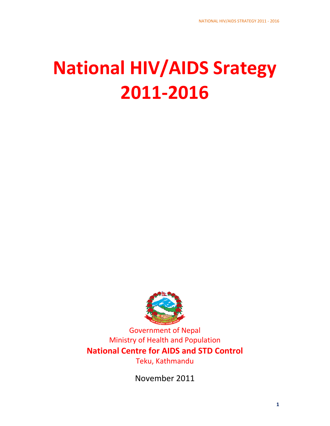# **National HIV/AIDS Srategy 2011‐2016**



Government of Nepal Ministry of Health and Population **National Centre for AIDS and STD Control** Teku, Kathmandu

November 2011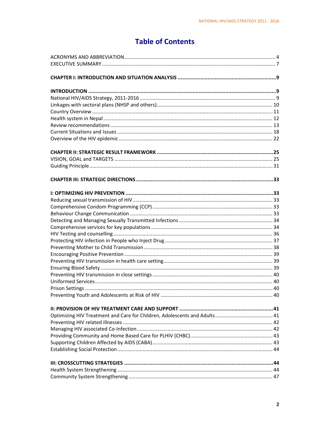# **Table of Contents**

| Preventing Youth and Adolescents at Risk of HIV |  |
|-------------------------------------------------|--|
|                                                 |  |
|                                                 |  |
|                                                 |  |
|                                                 |  |
|                                                 |  |
|                                                 |  |
|                                                 |  |
|                                                 |  |
|                                                 |  |
|                                                 |  |
|                                                 |  |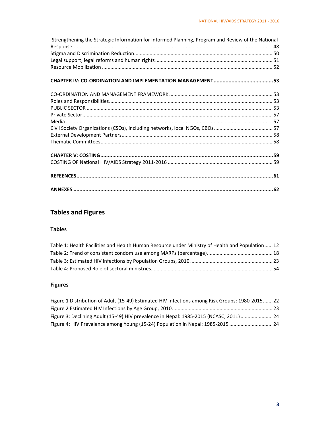| Strengthening the Strategic Information for Informed Planning, Program and Review of the National |  |
|---------------------------------------------------------------------------------------------------|--|
|                                                                                                   |  |
|                                                                                                   |  |
|                                                                                                   |  |
|                                                                                                   |  |
|                                                                                                   |  |
|                                                                                                   |  |
|                                                                                                   |  |
|                                                                                                   |  |
|                                                                                                   |  |
|                                                                                                   |  |
|                                                                                                   |  |
|                                                                                                   |  |
|                                                                                                   |  |
|                                                                                                   |  |
|                                                                                                   |  |
|                                                                                                   |  |
|                                                                                                   |  |
|                                                                                                   |  |

# **Tables and Figures**

# **Tables**

| Table 1: Health Facilities and Health Human Resource under Ministry of Health and Population 12 |  |
|-------------------------------------------------------------------------------------------------|--|
|                                                                                                 |  |
|                                                                                                 |  |
|                                                                                                 |  |

# **Figures**

| Figure 1 Distribution of Adult (15-49) Estimated HIV Infections among Risk Groups: 1980-2015 22 |  |
|-------------------------------------------------------------------------------------------------|--|
|                                                                                                 |  |
| Figure 3: Declining Adult (15-49) HIV prevalence in Nepal: 1985-2015 (NCASC, 2011)  24          |  |
| Figure 4: HIV Prevalence among Young (15-24) Population in Nepal: 1985-2015  24                 |  |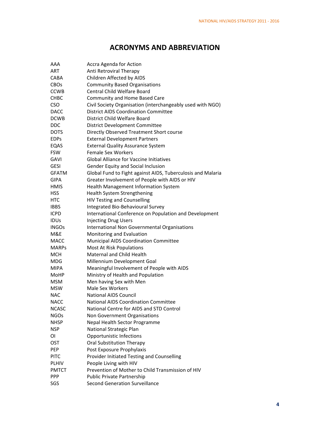# **ACRONYMS AND ABBREVIATION**

| AAA          | Accra Agenda for Action                                            |
|--------------|--------------------------------------------------------------------|
| <b>ART</b>   | Anti Retroviral Therapy                                            |
| CABA         | Children Affected by AIDS                                          |
| <b>CBOs</b>  | <b>Community Based Organisations</b>                               |
| <b>CCWB</b>  | <b>Central Child Welfare Board</b>                                 |
| CHBC         | <b>Community and Home Based Care</b>                               |
| <b>CSO</b>   | Civil Society Organisation (interchangeably used with NGO)         |
| <b>DACC</b>  | <b>District AIDS Coordination Committee</b>                        |
| <b>DCWB</b>  | District Child Welfare Board                                       |
| <b>DDC</b>   | District Development Committee                                     |
| <b>DOTS</b>  | Directly Observed Treatment Short course                           |
| <b>EDPs</b>  | <b>External Development Partners</b>                               |
| EQAS         | <b>External Quality Assurance System</b>                           |
| <b>FSW</b>   | Female Sex Workers                                                 |
| <b>GAVI</b>  | <b>Global Alliance for Vaccine Initiatives</b>                     |
| <b>GESI</b>  | Gender Equity and Social Inclusion                                 |
| <b>GFATM</b> | Global Fund to Fight against AIDS, Tuberculosis and Malaria        |
| <b>GIPA</b>  | Greater Involvement of People with AIDS or HIV                     |
| <b>HMIS</b>  | Health Management Information System                               |
| <b>HSS</b>   | Health System Strengthening                                        |
| HTC          | <b>HIV Testing and Counselling</b>                                 |
| <b>IBBS</b>  | Integrated Bio-Behavioural Survey                                  |
| <b>ICPD</b>  | International Conference on Population and Development             |
| <b>IDUs</b>  |                                                                    |
| <b>INGOs</b> | <b>Injecting Drug Users</b>                                        |
| M&E          | International Non Governmental Organisations                       |
| <b>MACC</b>  | Monitoring and Evaluation<br>Municipal AIDS Coordination Committee |
| <b>MARPS</b> | Most At Risk Populations                                           |
| <b>MCH</b>   | Maternal and Child Health                                          |
| MDG          |                                                                    |
|              | Millennium Development Goal                                        |
| MIPA         | Meaningful Involvement of People with AIDS                         |
| MoHP         | Ministry of Health and Population                                  |
| <b>MSM</b>   | Men having Sex with Men                                            |
| <b>MSW</b>   | <b>Male Sex Workers</b>                                            |
| <b>NAC</b>   | <b>National AIDS Council</b>                                       |
| NACC         | <b>National AIDS Coordination Committee</b>                        |
| <b>NCASC</b> | National Centre for AIDS and STD Control                           |
| <b>NGOs</b>  | Non Government Organisations                                       |
| <b>NHSP</b>  | Nepal Health Sector Programme                                      |
| <b>NSP</b>   | National Strategic Plan                                            |
| ΟI           | <b>Opportunistic Infections</b>                                    |
| <b>OST</b>   | Oral Substitution Therapy                                          |
| PEP          | Post Exposure Prophylaxis                                          |
| <b>PITC</b>  | Provider Initiated Testing and Counselling                         |
| <b>PLHIV</b> | People Living with HIV                                             |
| <b>PMTCT</b> | Prevention of Mother to Child Transmission of HIV                  |
| <b>PPP</b>   | Public Private Partnership                                         |
| SGS          | <b>Second Generation Surveillance</b>                              |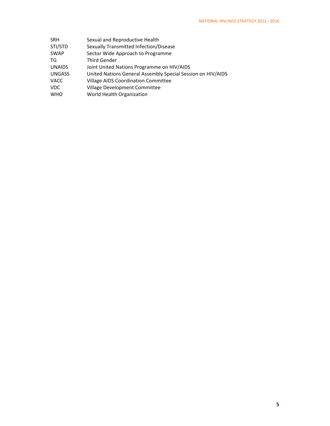| SRH           | Sexual and Reproductive Health                              |
|---------------|-------------------------------------------------------------|
| STI/STD       | Sexually Transmitted Infection/Disease                      |
| SWAP          | Sector Wide Approach to Programme                           |
| TG            | <b>Third Gender</b>                                         |
| <b>UNAIDS</b> | Joint United Nations Programme on HIV/AIDS                  |
| <b>UNGASS</b> | United Nations General Assembly Special Session on HIV/AIDS |
| VACC          | <b>Village AIDS Coordination Committee</b>                  |
| VDC           | Village Development Committee                               |
| <b>WHO</b>    | World Health Organization                                   |
|               |                                                             |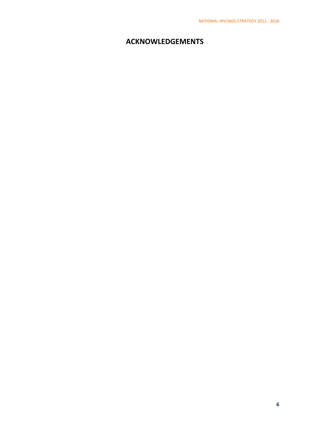# **ACKNOWLEDGEMENTS**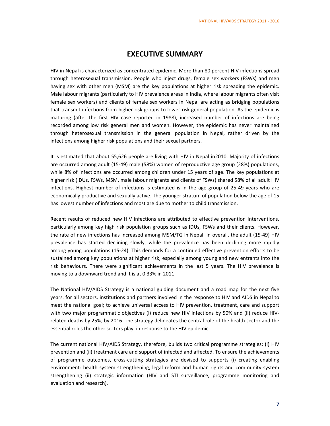## **EXECUTIVE SUMMARY**

HIV in Nepal is characterized as concentrated epidemic. More than 80 percent HIV infections spread through heterosexual transmission. People who inject drugs, female sex workers (FSWs) and men having sex with other men (MSM) are the key populations at higher risk spreading the epidemic. Male labour migrants (particularly to HIV prevalence areas in India, where labour migrants often visit female sex workers) and clients of female sex workers in Nepal are acting as bridging populations that transmit infections from higher risk groups to lower risk general population. As the epidemic is maturing (after the first HIV case reported in 1988), increased number of infections are being recorded among low risk general men and women. However, the epidemic has never maintained through heterosexual transmission in the general population in Nepal, rather driven by the infections among higher risk populations and their sexual partners.

It is estimated that about 55,626 people are living with HIV in Nepal in2010. Majority of infections are occurred among adult (15‐49) male (58%) women of reproductive age group (28%) populations, while 8% of infections are occurred among children under 15 years of age. The key populations at higher risk (IDUs, FSWs, MSM, male labour migrants and clients of FSWs) shared 58% of all adult HIV infections. Highest number of infections is estimated is in the age group of 25‐49 years who are economically productive and sexually active. The younger stratum of population below the age of 15 has lowest number of infections and most are due to mother to child transmission.

Recent results of reduced new HIV infections are attributed to effective prevention interventions, particularly among key high risk population groups such as IDUs, FSWs and their clients. However, the rate of new infections has increased among MSM/TG in Nepal. In overall, the adult (15‐49) HIV prevalence has started declining slowly, while the prevalence has been declining more rapidly among young populations (15‐24). This demands for a continued effective prevention efforts to be sustained among key populations at higher risk, especially among young and new entrants into the risk behaviours. There were significant achievements in the last 5 years. The HIV prevalence is moving to a downward trend and it is at 0.33% in 2011.

The National HIV/AIDS Strategy is a national guiding document and a road map for the next five years. for all sectors, institutions and partners involved in the response to HIV and AIDS in Nepal to meet the national goal; to achieve universal access to HIV prevention, treatment, care and support with two major programmatic objectives (i) reduce new HIV infections by 50% and (ii) reduce HIV‐ related deaths by 25%, by 2016. The strategy delineates the central role of the health sector and the essential roles the other sectors play, in response to the HIV epidemic.

The current national HIV/AIDS Strategy, therefore, builds two critical programme strategies: (i) HIV prevention and (ii) treatment care and support of infected and affected. To ensure the achievements of programme outcomes, cross‐cutting strategies are devised to supports (i) creating enabling environment: health system strengthening, legal reform and human rights and community system strengthening (ii) strategic information (HIV and STI surveillance, programme monitoring and evaluation and research).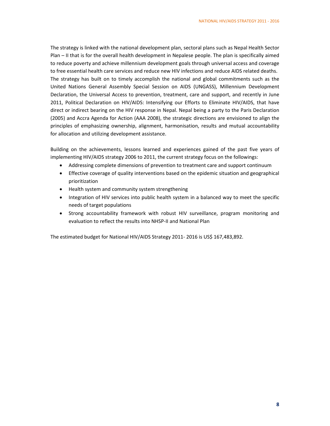The strategy is linked with the national development plan, sectoral plans such as Nepal Health Sector Plan – II that is for the overall health development in Nepalese people. The plan is specifically aimed to reduce poverty and achieve millennium development goals through universal access and coverage to free essential health care services and reduce new HIV infections and reduce AIDS related deaths. The strategy has built on to timely accomplish the national and global commitments such as the United Nations General Assembly Special Session on AIDS (UNGASS), Millennium Development Declaration, the Universal Access to prevention, treatment, care and support, and recently in June 2011, Political Declaration on HIV/AIDS: Intensifying our Efforts to Eliminate HIV/AIDS, that have direct or indirect bearing on the HIV response in Nepal. Nepal being a party to the Paris Declaration (2005) and Accra Agenda for Action (AAA 2008), the strategic directions are envisioned to align the principles of emphasizing ownership, alignment, harmonisation, results and mutual accountability for allocation and utilizing development assistance.

Building on the achievements, lessons learned and experiences gained of the past five years of implementing HIV/AIDS strategy 2006 to 2011, the current strategy focus on the followings:

- Addressing complete dimensions of prevention to treatment care and support continuum
- Effective coverage of quality interventions based on the epidemic situation and geographical prioritization
- Health system and community system strengthening
- Integration of HIV services into public health system in a balanced way to meet the specific needs of target populations
- Strong accountability framework with robust HIV surveillance, program monitoring and evaluation to reflect the results into NHSP‐II and National Plan

The estimated budget for National HIV/AIDS Strategy 2011-2016 is US\$ 167,483,892.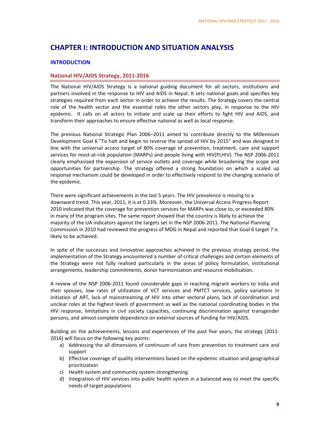# **CHAPTER I: INTRODUCTION AND SITUATION ANALYSIS**

## **INTRODUCTION**

#### **National HIV/AIDS Strategy, 2011‐2016**

The National HIV/AIDS Strategy is a national guiding document for all sectors, institutions and partners involved in the response to HIV and AIDS in Nepal. It sets national goals and specifies key strategies required from each sector in order to achieve the results. The Strategy covers the central role of the health sector and the essential roles the other sectors play, in response to the HIV epidemic. It calls on all actors to initiate and scale up their efforts to fight HIV and AIDS, and transform their approaches to ensure effective national as well as local response.

The previous National Strategic Plan 2006–2011 aimed to contribute directly to the Millennium Development Goal 6 "To halt and begin to reverse the spread of HIV by 2015" and was designed in line with the universal access target of 80% coverage of prevention, treatment, care and support services for most‐at‐risk population (MARPs) and people living with HIV(PLHIV). The NSP 2006‐2011 clearly emphasised the expansion of service outlets and coverage while broadening the scope and opportunities for partnership. The strategy offered a strong foundation on which a scaled up response mechanism could be developed in order to effectively respond to the changing scenario of the epidemic.

There were significant achievements in the last 5 years. The HIV prevalence is moving to a downward trend. This year, 2011, it is at 0.33%. Moreover, the Universal Access Progress Report 2010 indicated that the coverage for prevention services for MARPs was close to, or exceeded 80% in many of the program sites. The same report showed that the country is likely to achieve the majority of the UA indicators against the targets set in the NSP 2006‐2011. The National Planning Commission in 2010 had reviewed the progress of MDG in Nepal and reported that Goal 6 target 7 is likely to be achieved.

In spite of the successes and innovative approaches achieved in the previous strategy period, the implementation of the Strategy encountered a number of critical challenges and certain elements of the Strategy were not fully realised particularly in the areas of policy formulation, institutional arrangements, leadership commitments, donor harmonisation and resource mobilisation.

A review of the NSP 2006‐2011 found considerable gaps in reaching migrant workers to India and their spouses, low rates of utilization of VCT services and PMTCT services, policy variations in initiation of ART, lack of mainstreaming of HIV into other sectoral plans, lack of coordination and unclear roles at the highest levels of government as well as the national coordinating bodies in the HIV response, limitations in civil society capacities, continuing discrimination against transgender persons, and almost complete dependence on external sources of funding for HIV/AIDS.

Building on the achievements, lessons and experiences of the past five years, the strategy (2011‐ 2016) will focus on the following key points:

- a) Addressing the all dimensions of continuum of care from prevention to treatment care and support
- b) Effective coverage of quality interventions based on the epidemic situation and geographical prioritization
- c) Health system and community system strengthening
- d) Integration of HIV services into public health system in a balanced way to meet the specific needs of target populations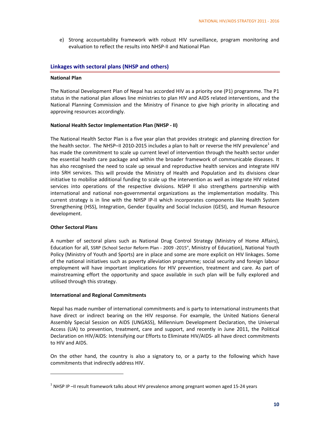e) Strong accountability framework with robust HIV surveillance, program monitoring and evaluation to reflect the results into NHSP‐II and National Plan

#### **Linkages with sectoral plans (NHSP and others)**

#### **National Plan**

The National Development Plan of Nepal has accorded HIV as a priority one (P1) programme. The P1 status in the national plan allows line ministries to plan HIV and AIDS related interventions, and the National Planning Commission and the Ministry of Finance to give high priority in allocating and approving resources accordingly.

#### **National Health Sector Implementation Plan (NHSP ‐ II)**

The National Health Sector Plan is a five year plan that provides strategic and planning direction for the health sector. The NHSP–II 2010-2015 includes a plan to halt or reverse the HIV prevalence<sup>1</sup> and has made the commitment to scale up current level of intervention through the health sector under the essential health care package and within the broader framework of communicable diseases. It has also recognised the need to scale up sexual and reproductive health services and integrate HIV into SRH services. This will provide the Ministry of Health and Population and its divisions clear initiative to mobilise additional funding to scale up the intervention as well as integrate HIV related services into operations of the respective divisions. NSHP II also strengthens partnership with international and national non‐governmental organizations as the implementation modality. This current strategy is in line with the NHSP IP‐II which incorporates components like Health System Strengthening (HSS), Integration, Gender Equality and Social Inclusion (GESI), and Human Resource development.

#### **Other Sectoral Plans**

A number of sectoral plans such as National Drug Control Strategy (Ministry of Home Affairs), Education for all, SSRP (School Sector Reform Plan ‐ 2009 ‐2015", Ministry of Education), National Youth Policy (Ministry of Youth and Sports) are in place and some are more explicit on HIV linkages. Some of the national initiatives such as poverty alleviation programme; social security and foreign labour employment will have important implications for HIV prevention, treatment and care. As part of mainstreaming effort the opportunity and space available in such plan will be fully explored and utilised through this strategy.

#### **International and Regional Commitments**

Nepal has made number of international commitments and is party to international instruments that have direct or indirect bearing on the HIV response. For example, the United Nations General Assembly Special Session on AIDS (UNGASS), Millennium Development Declaration, the Universal Access (UA) to prevention, treatment, care and support, and recently in June 2011, the Political Declaration on HIV/AIDS: Intensifying our Efforts to Eliminate HIV/AIDS- all have direct commitments to HIV and AIDS.

On the other hand, the country is also a signatory to, or a party to the following which have commitments that indirectly address HIV.

<sup>&</sup>lt;sup>1</sup> NHSP IP –II result framework talks about HIV prevalence among pregnant women aged 15-24 years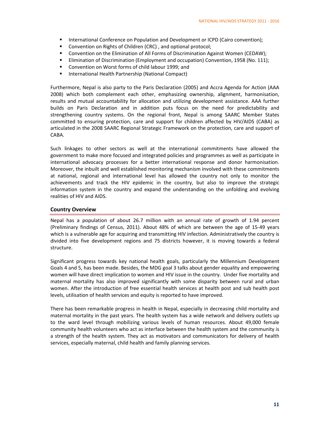- **International Conference on Population and Development or ICPD (Cairo convention);**
- **E** Convention on Rights of Children (CRC), and optional protocol;
- Convention on the Elimination of All Forms of Discrimination Against Women (CEDAW);
- **Elimination of Discrimination (Employment and occupation) Convention, 1958 (No. 111);**
- Convention on Worst forms of child labour 1999; and
- International Health Partnership (National Compact)

Furthermore, Nepal is also party to the Paris Declaration (2005) and Accra Agenda for Action (AAA 2008) which both complement each other, emphasizing ownership, alignment, harmonisation, results and mutual accountability for allocation and utilizing development assistance. AAA further builds on Paris Declaration and in addition puts focus on the need for predictability and strengthening country systems. On the regional front, Nepal is among SAARC Member States committed to ensuring protection, care and support for children affected by HIV/AIDS (CABA) as articulated in the 2008 SAARC Regional Strategic Framework on the protection, care and support of CABA.

Such linkages to other sectors as well at the international commitments have allowed the government to make more focused and integrated policies and programmes as well as participate in international advocacy processes for a better international response and donor harmonisation. Moreover, the inbuilt and well established monitoring mechanism involved with these commitments at national, regional and international level has allowed the country not only to monitor the achievements and track the HIV epidemic in the country, but also to improve the strategic information system in the country and expand the understanding on the unfolding and evolving realities of HIV and AIDS.

#### **Country Overview**

Nepal has a population of about 26.7 million with an annual rate of growth of 1.94 percent (Preliminary findings of Census, 2011). About 48% of which are between the age of 15‐49 years which is a vulnerable age for acquiring and transmitting HIV infection. Administratively the country is divided into five development regions and 75 districts however, it is moving towards a federal structure.

Significant progress towards key national health goals, particularly the Millennium Development Goals 4 and 5, has been made. Besides, the MDG goal 3 talks about gender equality and empowering women will have direct implication to women and HIV issue in the country. Under five mortality and maternal mortality has also improved significantly with some disparity between rural and urban women. After the introduction of free essential health services at health post and sub health post levels, utilisation of health services and equity is reported to have improved.

There has been remarkable progress in health in Nepal, especially in decreasing child mortality and maternal mortality in the past years. The health system has a wide network and delivery outlets up to the ward level through mobilizing various levels of human resources. About 49,000 female community health volunteers who act as interface between the health system and the community is a strength of the health system. They act as motivators and communicators for delivery of health services, especially maternal, child health and family planning services.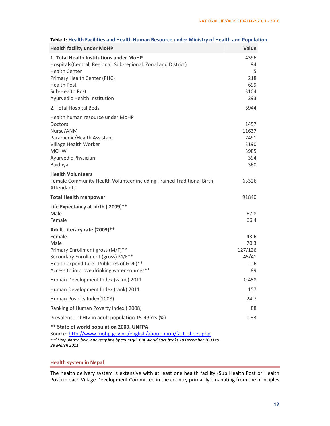| <b>Health facility under MoHP</b>                                                                                                 | Value           |
|-----------------------------------------------------------------------------------------------------------------------------------|-----------------|
| 1. Total Health Institutions under MoHP<br>Hospitals(Central, Regional, Sub-regional, Zonal and District)<br><b>Health Center</b> | 4396<br>94<br>5 |
| Primary Health Center (PHC)                                                                                                       | 218             |
| <b>Health Post</b>                                                                                                                | 699             |
| Sub-Health Post<br>Ayurvedic Health Institution                                                                                   | 3104<br>293     |
| 2. Total Hospital Beds                                                                                                            | 6944            |
| Health human resource under MoHP                                                                                                  |                 |
| <b>Doctors</b>                                                                                                                    | 1457            |
| Nurse/ANM                                                                                                                         | 11637           |
| Paramedic/Health Assistant                                                                                                        | 7491<br>3190    |
| Village Health Worker<br><b>MCHW</b>                                                                                              | 3985            |
| Ayurvedic Physician                                                                                                               | 394             |
| Baidhya                                                                                                                           | 360             |
| <b>Health Volunteers</b>                                                                                                          |                 |
| Female Community Health Volunteer including Trained Traditional Birth<br><b>Attendants</b>                                        | 63326           |
| <b>Total Health manpower</b>                                                                                                      | 91840           |
| Life Expectancy at birth (2009)**                                                                                                 |                 |
| Male                                                                                                                              | 67.8            |
| Female                                                                                                                            | 66.4            |
| Adult Literacy rate (2009)**                                                                                                      |                 |
| Female<br>Male                                                                                                                    | 43.6<br>70.3    |
| Primary Enrollment gross (M/F)**                                                                                                  | 127/126         |
| Secondary Enrollment (gross) M/F**                                                                                                | 45/41           |
| Health expenditure, Public (% of GDP)**                                                                                           | 1.6             |
| Access to improve drinking water sources**                                                                                        | 89              |
| Human Development Index (value) 2011                                                                                              | 0.458           |
| Human Development Index (rank) 2011                                                                                               | 157             |
| Human Poverty Index(2008)                                                                                                         | 24.7            |
| Ranking of Human Poverty Index (2008)                                                                                             | 88              |
| Prevalence of HIV in adult population 15-49 Yrs (%)                                                                               | 0.33            |
| ** State of world population 2009, UNFPA<br>Source: http://www.mohn.gov.pn/english/about_moh/fact_sheet.php                       |                 |

#### **Table 1: Health Facilities and Health Human Resource under Ministry of Health and Population**

vurce: <u>http://www.mohp.gov.np/english/about\_moh/fact\_sheet.php</u> *\*\*\*\*Population below poverty line by country", CIA World Fact books 18 December 2003 to 28 March 2011.*

#### **Health system in Nepal**

The health delivery system is extensive with at least one health facility (Sub Health Post or Health Post) in each Village Development Committee in the country primarily emanating from the principles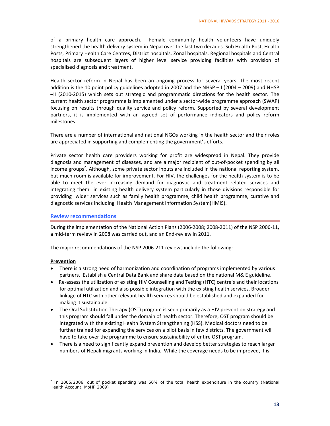of a primary health care approach. Female community health volunteers have uniquely strengthened the health delivery system in Nepal over the last two decades. Sub Health Post, Health Posts, Primary Health Care Centres, District hospitals, Zonal hospitals, Regional hospitals and Central hospitals are subsequent layers of higher level service providing facilities with provision of specialised diagnosis and treatment.

Health sector reform in Nepal has been an ongoing process for several years. The most recent addition is the 10 point policy guidelines adopted in 2007 and the NHSP – I (2004 – 2009) and NHSP –II (2010‐2015) which sets out strategic and programmatic directions for the health sector. The current health sector programme is implemented under a sector-wide programme approach (SWAP) focusing on results through quality service and policy reform. Supported by several development partners, it is implemented with an agreed set of performance indicators and policy reform milestones.

There are a number of international and national NGOs working in the health sector and their roles are appreciated in supporting and complementing the government's efforts.

Private sector health care providers working for profit are widespread in Nepal. They provide diagnosis and management of diseases, and are a major recipient of out‐of‐pocket spending by all income groups<sup>2</sup>. Although, some private sector inputs are included in the national reporting system, but much room is available for improvement. For HIV, the challenges for the health system is to be able to meet the ever increasing demand for diagnostic and treatment related services and integrating them in existing health delivery system particularly in those divisions responsible for providing wider services such as family health programme, child health programme, curative and diagnostic services including Health Management Information System(HMIS).

#### **Review recommendations**

During the implementation of the National Action Plans (2006‐2008; 2008‐2011) of the NSP 2006‐11, a mid‐term review in 2008 was carried out, and an End‐review in 2011.

The major recommendations of the NSP 2006‐211 reviews include the following:

#### **Prevention**

- There is a strong need of harmonization and coordination of programs implemented by various partners. Establish a Central Data Bank and share data based on the national M& E guideline.
- Re‐assess the utilization of existing HIV Counselling and Testing (HTC) centre's and their locations for optimal utilization and also possible integration with the existing health services. Broader linkage of HTC with other relevant health services should be established and expanded for making it sustainable.
- The Oral Substitution Therapy (OST) program is seen primarily as a HIV prevention strategy and this program should fall under the domain of health sector. Therefore, OST program should be integrated with the existing Health System Strengthening (HSS). Medical doctors need to be further trained for expanding the services on a pilot basis in few districts. The government will have to take over the programme to ensure sustainability of entire OST program.
- There is a need to significantly expand prevention and develop better strategies to reach larger numbers of Nepali migrants working in India. While the coverage needs to be improved, it is

 $2$  In 2005/2006, out of pocket spending was 50% of the total health expenditure in the country (National Health Account, MoHP 2009)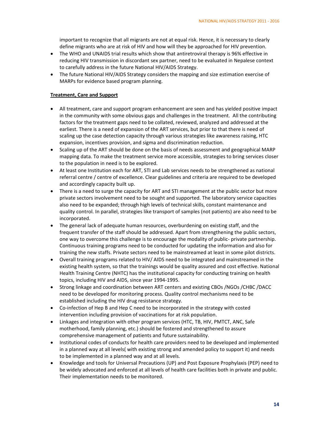important to recognize that all migrants are not at equal risk. Hence, it is necessary to clearly define migrants who are at risk of HIV and how will they be approached for HIV prevention.

- The WHO and UNAIDS trial results which show that antiretroviral therapy is 96% effective in reducing HIV transmission in discordant sex partner, need to be evaluated in Nepalese context to carefully address in the future National HIV/AIDS Strategy.
- The future National HIV/AIDS Strategy considers the mapping and size estimation exercise of MARPs for evidence based program planning.

#### **Treatment, Care and Support**

- All treatment, care and support program enhancement are seen and has yielded positive impact in the community with some obvious gaps and challenges in the treatment. All the contributing factors for the treatment gaps need to be collated, reviewed, analyzed and addressed at the earliest. There is a need of expansion of the ART services, but prior to that there is need of scaling up the case detection capacity through various strategies like awareness raising, HTC expansion, incentives provision, and sigma and discrimination reduction.
- Scaling up of the ART should be done on the basis of needs assessment and geographical MARP mapping data. To make the treatment service more accessible, strategies to bring services closer to the population in need is to be explored.
- At least one Institution each for ART, STI and Lab services needs to be strengthened as national referral centre / centre of excellence. Clear guidelines and criteria are required to be developed and accordingly capacity built up.
- There is a need to surge the capacity for ART and STI management at the public sector but more private sectors involvement need to be sought and supported. The laboratory service capacities also need to be expanded; through high levels of technical skills, constant maintenance and quality control. In parallel, strategies like transport of samples (not patients) are also need to be incorporated.
- The general lack of adequate human resources, overburdening on existing staff, and the frequent transfer of the staff should be addressed. Apart from strengthening the public sectors, one way to overcome this challenge is to encourage the modality of public- private partnership. Continuous training programs need to be conducted for updating the information and also for training the new staffs. Private sectors need to be mainstreamed at least in some pilot districts.
- Overall training programs related to HIV/ AIDS need to be integrated and mainstreamed in the existing health system, so that the trainings would be quality assured and cost effective. National Health Training Centre (NHTC) has the institutional capacity for conducting training on health topics, including HIV and AIDS, since year 1994‐1995.
- Strong linkage and coordination between ART centers and existing CBOs /NGOs /CHBC /DACC need to be developed for monitoring process. Quality control mechanisms need to be established including the HIV drug resistance strategy.
- Co‐infection of Hep B and Hep C need to be incorporated in the strategy with costed intervention including provision of vaccinations for at risk population.
- Linkages and integration with other program services (HTC, TB, HIV, PMTCT, ANC, Safe motherhood, family planning, etc.) should be fostered and strengthened to assure comprehensive management of patients and future sustainability.
- Institutional codes of conducts for health care providers need to be developed and implemented in a planned way at all levels( with existing strong and amended policy to support it) and needs to be implemented in a planned way and at all levels.
- Knowledge and tools for Universal Precautions (UP) and Post Exposure Prophylaxis (PEP) need to be widely advocated and enforced at all levels of health care facilities both in private and public. Their implementation needs to be monitored.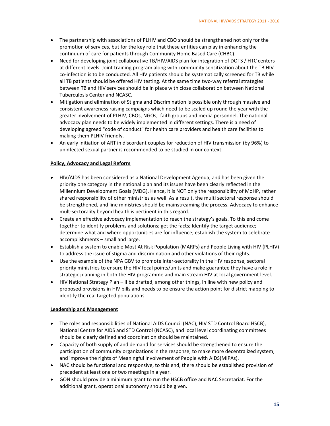- The partnership with associations of PLHIV and CBO should be strengthened not only for the promotion of services, but for the key role that these entities can play in enhancing the continuum of care for patients through Community Home Based Care (CHBC).
- Need for developing joint collaborative TB/HIV/AIDS plan for integration of DOTS / HTC centers at different levels. Joint training program along with community sensitization about the TB HIV co-infection is to be conducted. All HIV patients should be systematically screened for TB while all TB patients should be offered HIV testing. At the same time two-way referral strategies between TB and HIV services should be in place with close collaboration between National Tuberculosis Center and NCASC.
- Mitigation and elimination of Stigma and Discrimination is possible only through massive and consistent awareness raising campaigns which need to be scaled up round the year with the greater involvement of PLHIV, CBOs, NGOs, faith groups and media personnel. The national advocacy plan needs to be widely implemented in different settings. There is a need of developing agreed "code of conduct" for health care providers and health care facilities to making them PLHIV friendly.
- An early initiation of ART in discordant couples for reduction of HIV transmission (by 96%) to uninfected sexual partner is recommended to be studied in our context.

#### **Policy, Advocacy and Legal Reform**

- HIV/AIDS has been considered as a National Development Agenda, and has been given the priority one category in the national plan and its issues have been clearly reflected in the Millennium Development Goals (MDG). Hence, it is NOT only the responsibility of MoHP, rather shared responsibility of other ministries as well. As a result, the multi sectoral response should be strengthened, and line ministries should be mainstreaming the process. Advocacy to enhance mult‐sectorality beyond health is pertinent in this regard.
- Create an effective advocacy implementation to reach the strategy's goals. To this end come together to identify problems and solutions; get the facts; Identify the target audience; determine what and where opportunities are for influence; establish the system to celebrate accomplishments – small and large.
- Establish a system to enable Most At Risk Population (MARPs) and People Living with HIV (PLHIV) to address the issue of stigma and discrimination and other violations of their rights.
- Use the example of the NPA GBV to promote inter‐sectorality in the HIV response, sectoral priority ministries to ensure the HIV focal points/units and make guarantee they have a role in strategic planning in both the HIV programme and main stream HIV at local government level.
- HIV National Strategy Plan II be drafted, among other things, in line with new policy and proposed provisions in HIV bills and needs to be ensure the action point for district mapping to identify the real targeted populations.

#### **Leadership and Management**

- The roles and responsibilities of National AIDS Council (NAC), HIV STD Control Board HSCB), National Centre for AIDS and STD Control (NCASC), and local level coordinating committees should be clearly defined and coordination should be maintained.
- Capacity of both supply of and demand for services should be strengthened to ensure the participation of community organizations in the response; to make more decentralized system, and improve the rights of Meaningful Involvement of People with AIDS(MIPAs).
- NAC should be functional and responsive, to this end, there should be established provision of precedent at least one or two meetings in a year.
- GON should provide a minimum grant to run the HSCB office and NAC Secretariat. For the additional grant, operational autonomy should be given.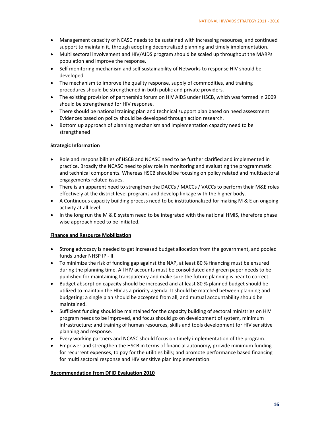- Management capacity of NCASC needs to be sustained with increasing resources; and continued support to maintain it, through adopting decentralized planning and timely implementation.
- Multi sectoral involvement and HIV/AIDS program should be scaled up throughout the MARPs population and improve the response.
- Self monitoring mechanism and self sustainability of Networks to response HIV should be developed.
- The mechanism to improve the quality response, supply of commodities, and training procedures should be strengthened in both public and private providers.
- The existing provision of partnership forum on HIV AIDS under HSCB, which was formed in 2009 should be strengthened for HIV response.
- There should be national training plan and technical support plan based on need assessment. Evidences based on policy should be developed through action research.
- Bottom up approach of planning mechanism and implementation capacity need to be strengthened

#### **Strategic Information**

- Role and responsibilities of HSCB and NCASC need to be further clarified and implemented in practice. Broadly the NCASC need to play role in monitoring and evaluating the programmatic and technical components. Whereas HSCB should be focusing on policy related and multisectoral engagements related issues.
- There is an apparent need to strengthen the DACCs / MACCs / VACCs to perform their M&E roles effectively at the district level programs and develop linkage with the higher body.
- A Continuous capacity building process need to be institutionalized for making M & E an ongoing activity at all level.
- In the long run the M & E system need to be integrated with the national HMIS, therefore phase wise approach need to be initiated.

#### **Finance and Resource Mobilization**

- Strong advocacy is needed to get increased budget allocation from the government, and pooled funds under NHSP IP ‐ II.
- To minimize the risk of funding gap against the NAP, at least 80 % financing must be ensured during the planning time. All HIV accounts must be consolidated and green paper needs to be published for maintaining transparency and make sure the future planning is near to correct.
- Budget absorption capacity should be increased and at least 80 % planned budget should be utilized to maintain the HIV as a priority agenda. It should be matched between planning and budgeting; a single plan should be accepted from all, and mutual accountability should be maintained.
- Sufficient funding should be maintained for the capacity building of sectoral ministries on HIV program needs to be improved, and focus should go on development of system, minimum infrastructure; and training of human resources, skills and tools development for HIV sensitive planning and response.
- Every working partners and NCASC should focus on timely implementation of the program.
- Empower and strengthen the HSCB in terms of financial autonomy**,** provide minimum funding for recurrent expenses, to pay for the utilities bills; and promote performance based financing for multi sectoral response and HIV sensitive plan implementation.

#### **Recommendation from DFID Evaluation 2010**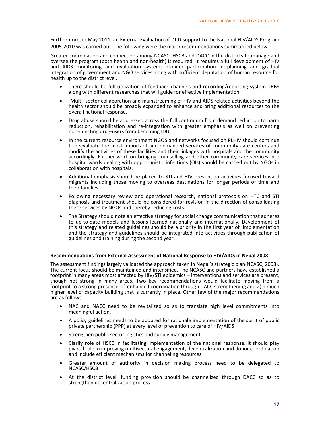Furthermore, in May 2011, an External Evaluation of DfID‐support to the National HIV/AIDS Program 2005-2010 was carried out. The following were the major recommendations summarized below.

Greater coordination and connection among NCASC, HSCB and DACC in the districts to manage and oversee the program (both health and non‐health) is required. It requires a full development of HIV and AIDS monitoring and evaluation system; broader participation in planning and gradual integration of government and NGO services along with sufficient deputation of human resource for health up to the district level.

- There should be full utilization of feedback channels and recording/reporting system. IBBS along with different researches that will guide for effective implementation.
- Multi- sector collaboration and mainstreaming of HIV and AIDS related activities beyond the health sector should be broadly expanded to enhance and bring additional resources to the overall national response.
- Drug abuse should be addressed across the full continuum from demand reduction to harm reduction, rehabilitation and re-integration with greater emphasis as well on preventing non‐injecting drug‐users from becoming IDU.
- In the current resource environment NGOS and networks focused on PLHIV should continue to reevaluate the most important and demanded services of community care centers and modify the activities of these facilities and their linkages with hospitals and the community accordingly. Further work on bringing counselling and other community care services into hospital wards dealing with opportunistic infections (OIs) should be carried out by NGOs in collaboration with hospitals.
- Additional emphasis should be placed to STI and HIV prevention activities focused toward migrants including those moving to overseas destinations for longer periods of time and their families.
- Following necessary review and operational research, national protocols on HTC and STI diagnosis and treatment should be considered for revision in the direction of consolidating these services by NGOs and thereby reducing costs.
- The Strategy should note an effective strategy for social change communication that adheres to up‐to‐date models and lessons learned nationally and internationally. Development of this strategy and related guidelines should be a priority in the first year of implementation and the strategy and guidelines should be integrated into activities through publication of guidelines and training during the second year.

#### **Recommendations from External Assessment of National Response to HIV/AIDS in Nepal 2008**

The assessment findings largely validated the approach taken in Nepal's strategic plan(NCASC, 2008). The current focus should be maintained and intensified. The NCASC and partners have established a footprint in many areas most affected by HIV/STI epidemics - interventions and services are present, though not strong in many areas. Two key recommendations would facilitate moving from a footprint to a strong presence: 1) enhanced coordination through DACC strengthening and 2) a much higher level of capacity building that is currently in place. Other few of the major recommendations are as follows:

- NAC and NACC need to be revitalized so as to translate high level commitments into meaningful action.
- A policy guidelines needs to be adopted for rationale implementation of the spirit of public private partnership (PPP) at every level of prevention to care of HIV/AIDS
- Strengthen public sector logistics and supply management
- Clarify role of HSCB in facilitating implementation of the national response. It should play pivotal role in improving multisectoral engagement, decentralization and donor coordination and include efficient mechanisms for channeling resources
- Greater amount of authority in decision making process need to be delegated to NCASC/HSCB
- At the district level, funding provision should be channelized through DACC so as to strengthen decentralization process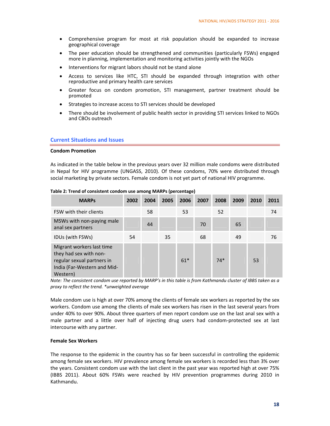- Comprehensive program for most at risk population should be expanded to increase geographical coverage
- The peer education should be strengthened and communities (particularly FSWs) engaged more in planning, implementation and monitoring activities jointly with the NGOs
- Interventions for migrant labors should not be stand alone
- Access to services like HTC, STI should be expanded through integration with other reproductive and primary health care services
- Greater focus on condom promotion, STI management, partner treatment should be promoted
- Strategies to increase access to STI services should be developed
- There should be involvement of public health sector in providing STI services linked to NGOs and CBOs outreach

#### **Current Situations and Issues**

#### **Condom Promotion**

As indicated in the table below in the previous years over 32 million male condoms were distributed in Nepal for HIV programme (UNGASS, 2010). Of these condoms, 70% were distributed through social marketing by private sectors. Female condom is not yet part of national HIV programme.

| <b>MARPS</b>                                                                                                                 | 2002 | 2004 | 2005 | 2006  | 2007 | 2008  | 2009 | 2010 | 2011 |
|------------------------------------------------------------------------------------------------------------------------------|------|------|------|-------|------|-------|------|------|------|
| FSW with their clients                                                                                                       |      | 58   |      | 53    |      | 52    |      |      | 74   |
| MSWs with non-paying male<br>anal sex partners                                                                               |      | 44   |      |       | 70   |       | 65   |      |      |
| IDUs (with FSWs)                                                                                                             | 54   |      | 35   |       | 68   |       | 49   |      | 76   |
| Migrant workers last time<br>they had sex with non-<br>regular sexual partners in<br>India (Far-Western and Mid-<br>Western) |      |      |      | $61*$ |      | $74*$ |      | 53   |      |

**Table 2: Trend of consistent condom use among MARPs (percentage)**

Note: The consistent condom use reported by MARP's in this table is from Kathmandu cluster of IBBS taken as a *proxy to reflect the trend. \*unweighted average* 

Male condom use is high at over 70% among the clients of female sex workers as reported by the sex workers. Condom use among the clients of male sex workers has risen in the last several years from under 40% to over 90%. About three quarters of men report condom use on the last anal sex with a male partner and a little over half of injecting drug users had condom‐protected sex at last intercourse with any partner.

#### **Female Sex Workers**

The response to the epidemic in the country has so far been successful in controlling the epidemic among female sex workers. HIV prevalence among female sex workers is recorded less than 3% over the years. Consistent condom use with the last client in the past year was reported high at over 75% (IBBS 2011). About 60% FSWs were reached by HIV prevention programmes during 2010 in Kathmandu.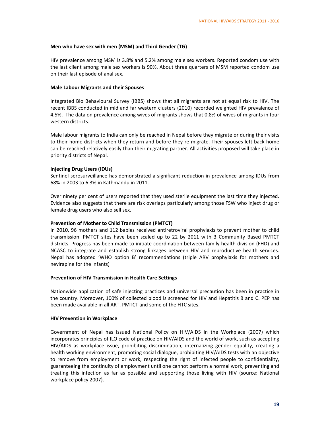#### **Men who have sex with men (MSM) and Third Gender (TG)**

HIV prevalence among MSM is 3.8% and 5.2% among male sex workers. Reported condom use with the last client among male sex workers is 90%. About three quarters of MSM reported condom use on their last episode of anal sex.

#### **Male Labour Migrants and their Spouses**

Integrated Bio Behavioural Survey (IBBS) shows that all migrants are not at equal risk to HIV. The recent IBBS conducted in mid and far western clusters (2010) recorded weighted HIV prevalence of 4.5%. The data on prevalence among wives of migrants shows that 0.8% of wives of migrants in four western districts.

Male labour migrants to India can only be reached in Nepal before they migrate or during their visits to their home districts when they return and before they re-migrate. Their spouses left back home can be reached relatively easily than their migrating partner. All activities proposed will take place in priority districts of Nepal.

#### **Injecting Drug Users (IDUs)**

Sentinel serosurveillance has demonstrated a significant reduction in prevalence among IDUs from 68% in 2003 to 6.3% in Kathmandu in 2011.

Over ninety per cent of users reported that they used sterile equipment the last time they injected. Evidence also suggests that there are risk overlaps particularly among those FSW who inject drug or female drug users who also sell sex.

#### **Prevention of Mother to Child Transmission (PMTCT)**

In 2010, 96 mothers and 112 babies received antiretroviral prophylaxis to prevent mother to child transmission. PMTCT sites have been scaled up to 22 by 2011 with 3 Community Based PMTCT districts. Progress has been made to initiate coordination between family health division (FHD) and NCASC to integrate and establish strong linkages between HIV and reproductive health services. Nepal has adopted 'WHO option B' recommendations (triple ARV prophylaxis for mothers and nevirapine for the infants)

#### **Prevention of HIV Transmission in Health Care Settings**

Nationwide application of safe injecting practices and universal precaution has been in practice in the country. Moreover, 100% of collected blood is screened for HIV and Hepatitis B and C. PEP has been made available in all ART, PMTCT and some of the HTC sites.

#### **HIV Prevention in Workplace**

Government of Nepal has issued National Policy on HIV/AIDS in the Workplace (2007) which incorporates principles of ILO code of practice on HIV/AIDS and the world of work, such as accepting HIV/AIDS as workplace issue, prohibiting discrimination, internalizing gender equality, creating a health working environment, promoting social dialogue, prohibiting HIV/AIDS tests with an objective to remove from employment or work, respecting the right of infected people to confidentiality, guaranteeing the continuity of employment until one cannot perform a normal work, preventing and treating this infection as far as possible and supporting those living with HIV (source: National workplace policy 2007).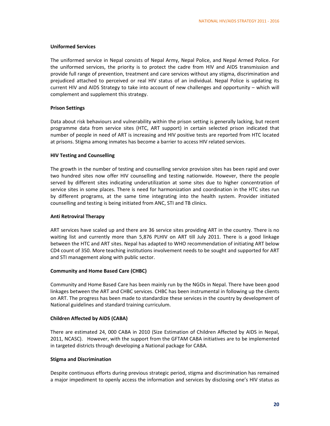#### **Uniformed Services**

The uniformed service in Nepal consists of Nepal Army, Nepal Police, and Nepal Armed Police. For the uniformed services, the priority is to protect the cadre from HIV and AIDS transmission and provide full range of prevention, treatment and care services without any stigma, discrimination and prejudiced attached to perceived or real HIV status of an individual. Nepal Police is updating its current HIV and AIDS Strategy to take into account of new challenges and opportunity – which will complement and supplement this strategy.

#### **Prison Settings**

Data about risk behaviours and vulnerability within the prison setting is generally lacking, but recent programme data from service sites (HTC, ART support) in certain selected prison indicated that number of people in need of ART is increasing and HIV positive tests are reported from HTC located at prisons. Stigma among inmates has become a barrier to access HIV related services.

#### **HIV Testing and Counselling**

The growth in the number of testing and counselling service provision sites has been rapid and over two hundred sites now offer HIV counselling and testing nationwide. However, there the people served by different sites indicating underutilization at some sites due to higher concentration of service sites in some places. There is need for harmonization and coordination in the HTC sites run by different programs, at the same time integrating into the health system. Provider initiated counselling and testing is being initiated from ANC, STI and TB clinics.

#### **Anti Retroviral Therapy**

ART services have scaled up and there are 36 service sites providing ART in the country. There is no waiting list and currently more than 5,876 PLHIV on ART till July 2011. There is a good linkage between the HTC and ART sites. Nepal has adapted to WHO recommendation of initiating ART below CD4 count of 350. More teaching institutions involvement needs to be sought and supported for ART and STI management along with public sector.

#### **Community and Home Based Care (CHBC)**

Community and Home Based Care has been mainly run by the NGOs in Nepal. There have been good linkages between the ART and CHBC services. CHBC has been instrumental in following up the clients on ART. The progress has been made to standardize these services in the country by development of National guidelines and standard training curriculum.

#### **Children Affected by AIDS (CABA)**

There are estimated 24, 000 CABA in 2010 (Size Estimation of Children Affected by AIDS in Nepal, 2011, NCASC). However, with the support from the GFTAM CABA initiatives are to be implemented in targeted districts through developing a National package for CABA.

#### **Stigma and Discrimination**

Despite continuous efforts during previous strategic period, stigma and discrimination has remained a major impediment to openly access the information and services by disclosing one's HIV status as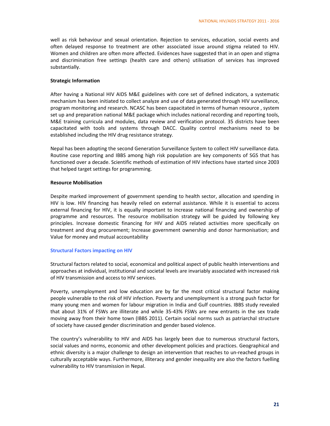well as risk behaviour and sexual orientation. Rejection to services, education, social events and often delayed response to treatment are other associated issue around stigma related to HIV. Women and children are often more affected. Evidences have suggested that in an open and stigma and discrimination free settings (health care and others) utilisation of services has improved substantially.

#### **Strategic Information**

After having a National HIV AIDS M&E guidelines with core set of defined indicators, a systematic mechanism has been initiated to collect analyze and use of data generated through HIV surveillance, program monitoring and research. NCASC has been capacitated in terms of human resource , system set up and preparation national M&E package which includes national recording and reporting tools, M&E training curricula and modules, data review and verification protocol. 35 districts have been capacitated with tools and systems through DACC. Quality control mechanisms need to be established including the HIV drug resistance strategy.

Nepal has been adopting the second Generation Surveillance System to collect HIV surveillance data. Routine case reporting and IBBS among high risk population are key components of SGS that has functioned over a decade. Scientific methods of estimation of HIV infections have started since 2003 that helped target settings for programming.

#### **Resource Mobilisation**

Despite marked improvement of government spending to health sector, allocation and spending in HIV is low. HIV financing has heavily relied on external assistance. While it is essential to access external financing for HIV, it is equally important to increase national financing and ownership of programme and resources. The resource mobilisation strategy will be guided by following key principles. Increase domestic financing for HIV and AIDS related activities more specifically on treatment and drug procurement; Increase government ownership and donor harmonisation; and Value for money and mutual accountability

#### **Structural Factors impacting on HIV**

Structural factors related to social, economical and political aspect of public health interventions and approaches at individual, institutional and societal levels are invariably associated with increased risk of HIV transmission and access to HIV services.

Poverty, unemployment and low education are by far the most critical structural factor making people vulnerable to the risk of HIV infection. Poverty and unemployment is a strong push factor for many young men and women for labour migration in India and Gulf countries. IBBS study revealed that about 31% of FSWs are illiterate and while 35‐43% FSWs are new entrants in the sex trade moving away from their home town (IBBS 2011). Certain social norms such as patriarchal structure of society have caused gender discrimination and gender based violence.

The country's vulnerability to HIV and AIDS has largely been due to numerous structural factors, social values and norms, economic and other development policies and practices. Geographical and ethnic diversity is a major challenge to design an intervention that reaches to un-reached groups in culturally acceptable ways. Furthermore, illiteracy and gender inequality are also the factors fuelling vulnerability to HIV transmission in Nepal.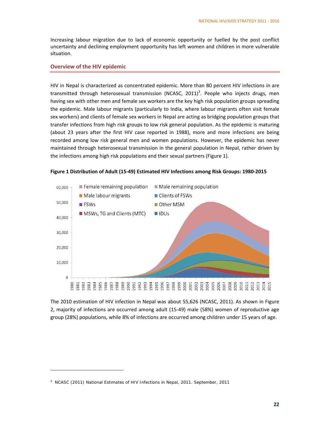Increasing labour migration due to lack of economic opportunity or fuelled by the post conflict uncertainty and declining employment opportunity has left women and children in more vulnerable situation.

#### **Overview of the HIV epidemic**

HIV in Nepal is characterized as concentrated epidemic. More than 80 percent HIV infections in are transmitted through heterosexual transmission (NCASC, 2011)<sup>3</sup>. People who injects drugs, men having sex with other men and female sex workers are the key high risk population groups spreading the epidemic. Male labour migrants (particularly to India, where labour migrants often visit female sex workers) and clients of female sex workers in Nepal are acting as bridging population groups that transfer infections from high risk groups to low risk general population. As the epidemic is maturing (about 23 years after the first HIV case reported in 1988), more and more infections are being recorded among low risk general men and women populations. However, the epidemic has never maintained through heterosexual transmission in the general population in Nepal, rather driven by the infections among high risk populations and their sexual partners (Figure 1).



**Figure 1 Distribution of Adult (15‐49) Estimated HIV Infections among Risk Groups: 1980‐2015**

The 2010 estimation of HIV infection in Nepal was about 55,626 (NCASC, 2011). As shown in Figure 2, majority of infections are occurred among adult (15‐49) male (58%) women of reproductive age group (28%) populations, while 8% of infections are occurred among children under 15 years of age.

<sup>&</sup>lt;sup>3</sup> NCASC (2011) National Estimates of HIV Infections in Nepal, 2011. September, 2011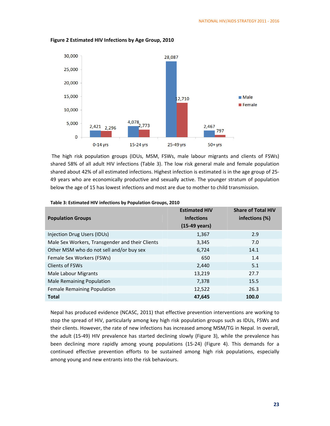

**Figure 2 Estimated HIV Infections by Age Group, 2010**

The high risk population groups (IDUs, MSM, FSWs, male labour migrants and clients of FSWs) shared 58% of all adult HIV infections (Table 3). The low risk general male and female population shared about 42% of all estimated infections. Highest infection is estimated is in the age group of 25‐ 49 years who are economically productive and sexually active. The younger stratum of population below the age of 15 has lowest infections and most are due to mother to child transmission.

|                                                 | <b>Estimated HIV</b> | <b>Share of Total HIV</b> |
|-------------------------------------------------|----------------------|---------------------------|
| <b>Population Groups</b>                        | <b>Infections</b>    | infections (%)            |
|                                                 | (15-49 years)        |                           |
| Injection Drug Users (IDUs)                     | 1,367                | 2.9                       |
| Male Sex Workers, Transgender and their Clients | 3,345                | 7.0                       |
| Other MSM who do not sell and/or buy sex        | 6,724                | 14.1                      |
| Female Sex Workers (FSWs)                       | 650                  | 1.4                       |
| <b>Clients of FSWs</b>                          | 2,440                | 5.1                       |
| Male Labour Migrants                            | 13,219               | 27.7                      |
| <b>Male Remaining Population</b>                | 7,378                | 15.5                      |
| Female Remaining Population                     | 12,522               | 26.3                      |
| <b>Total</b>                                    | 47,645               | 100.0                     |

**Table 3: Estimated HIV infections by Population Groups, 2010**

Nepal has produced evidence (NCASC, 2011) that effective prevention interventions are working to stop the spread of HIV, particularly among key high risk population groups such as IDUs, FSWs and their clients. However, the rate of new infections has increased among MSM/TG in Nepal. In overall, the adult (15‐49) HIV prevalence has started declining slowly (Figure 3), while the prevalence has been declining more rapidly among young populations (15-24) (Figure 4). This demands for a continued effective prevention efforts to be sustained among high risk populations, especially among young and new entrants into the risk behaviours.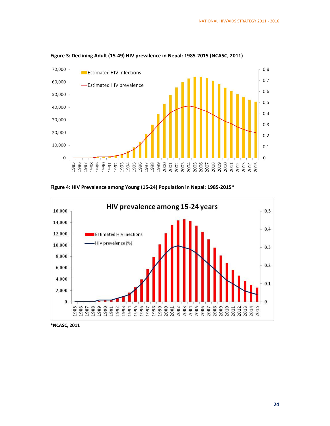

**Figure 3: Declining Adult (15‐49) HIV prevalence in Nepal: 1985‐2015 (NCASC, 2011)**

**Figure 4: HIV Prevalence among Young (15‐24) Population in Nepal: 1985‐2015\***



**\*NCASC, 2011**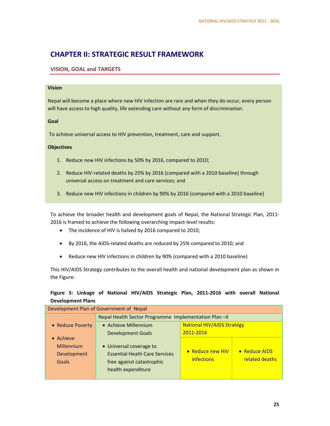# **CHAPTER II: STRATEGIC RESULT FRAMEWORK**

## **VISION, GOAL and TARGETS**

#### **Vision**

Nepal will become a place where new HIV infection are rare and when they do occur, every person will have access to high quality, life extending care without any form of discrimination.

#### **Goal**

To achieve universal access to HIV prevention, treatment, care and support.

#### **Objectives**

- 1. Reduce new HIV infections by 50% by 2016, compared to 2010;
- 2. Reduce HIV-related deaths by 25% by 2016 (compared with a 2010 baseline) through universal access on treatment and care services; and
- 3. Reduce new HIV infections in children by 90% by 2016 (compared with a 2010 baseline)

To achieve the broader health and development goals of Nepal, the National Strategic Plan, 2011‐ 2016 is framed to achieve the following overarching impact-level results:

- The incidence of HIV is halved by 2016 compared to 2010;
- By 2016, the AIDS‐related deaths are reduced by 25% compared to 2010; and
- Reduce new HIV infections in children by 90% (compared with a 2010 baseline)

This HIV/AIDS Strategy contributes to the overall health and national development plan as shown in the Figure:

## **Figure 5: Linkage of National HIV/AIDS Strategic Plan, 2011‐2016 with overall National Development Plans**

| Development Plan of Government of Nepal |                                                           |                  |                |  |  |
|-----------------------------------------|-----------------------------------------------------------|------------------|----------------|--|--|
|                                         | Nepal Health Sector Programme Implementation Plan-II      |                  |                |  |  |
| • Reduce Poverty                        | <b>National HIV/AIDS Strategy</b><br>• Achieve Millennium |                  |                |  |  |
|                                         | 2011-2016<br><b>Development Goals</b>                     |                  |                |  |  |
| • Achieve                               |                                                           |                  |                |  |  |
| <b>Millennium</b>                       | • Universal coverage to                                   |                  |                |  |  |
| Development                             | <b>Essential Heath Care Services</b>                      | • Reduce new HIV | • Reduce AIDS  |  |  |
| Goals                                   | free against catastrophic                                 | infections       | related deaths |  |  |
|                                         | health expenditure                                        |                  |                |  |  |
|                                         |                                                           |                  |                |  |  |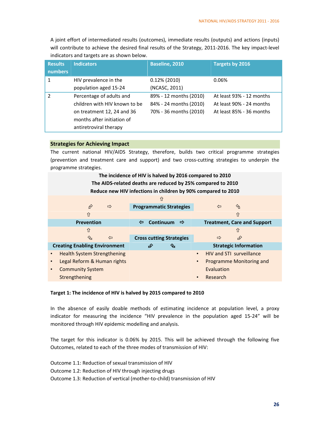A joint effort of intermediated results (outcomes), immediate results (outputs) and actions (inputs) will contribute to achieve the desired final results of the Strategy, 2011-2016. The key impact-level indicators and targets are as shown below.

| <b>Results</b> | <b>Indicators</b>             | Baseline, 2010         | Targets by 2016          |
|----------------|-------------------------------|------------------------|--------------------------|
| <b>numbers</b> |                               |                        |                          |
| 1              | HIV prevalence in the         | $0.12\%$ (2010)        | 0.06%                    |
|                | population aged 15-24         | (NCASC, 2011)          |                          |
|                | Percentage of adults and      | 89% - 12 months (2010) | At least 93% - 12 months |
|                | children with HIV known to be | 84% - 24 months (2010) | At least 90% - 24 months |
|                | on treatment 12, 24 and 36    | 70% - 36 months (2010) | At least 85% - 36 months |
|                | months after initiation of    |                        |                          |
|                | antiretroviral therapy        |                        |                          |

#### **Strategies for Achieving Impact**

The current national HIV/AIDS Strategy, therefore, builds two critical programme strategies (prevention and treatment care and support) and two cross‐cutting strategies to underpin the programme strategies.

| The incidence of HIV is halved by 2016 compared to 2010     |                                                               |                                       |  |  |  |  |
|-------------------------------------------------------------|---------------------------------------------------------------|---------------------------------------|--|--|--|--|
| The AIDS-related deaths are reduced by 25% compared to 2010 |                                                               |                                       |  |  |  |  |
|                                                             | Reduce new HIV infections in children by 90% compared to 2010 |                                       |  |  |  |  |
|                                                             | ⇧                                                             |                                       |  |  |  |  |
| ∲<br>$\Rightarrow$                                          | <b>Programmatic Strategies</b>                                | ⇘<br>⇦                                |  |  |  |  |
| 仚                                                           |                                                               | ⇧                                     |  |  |  |  |
| <b>Prevention</b>                                           | Continuum<br>⇦<br>$\Rightarrow$                               | <b>Treatment, Care and Support</b>    |  |  |  |  |
| 介                                                           |                                                               | 介                                     |  |  |  |  |
| ⇧<br>⇦                                                      | <b>Cross cutting Strategies</b>                               | $\hat{H}$<br>$\Rightarrow$            |  |  |  |  |
| <b>Creating Enabling Environment</b>                        | ₠<br>£                                                        | <b>Strategic Information</b>          |  |  |  |  |
| <b>Health System Strengthening</b>                          |                                                               | HIV and STI surveillance              |  |  |  |  |
| Legal Reform & Human rights                                 |                                                               | Programme Monitoring and<br>$\bullet$ |  |  |  |  |
| <b>Community System</b>                                     |                                                               | Evaluation                            |  |  |  |  |
| Strengthening                                               |                                                               | Research                              |  |  |  |  |

#### **Target 1: The incidence of HIV is halved by 2015 compared to 2010**

In the absence of easily doable methods of estimating incidence at population level, a proxy indicator for measuring the incidence "HIV prevalence in the population aged 15‐24" will be monitored through HIV epidemic modelling and analysis.

The target for this indicator is 0.06% by 2015. This will be achieved through the following five Outcomes, related to each of the three modes of transmission of HIV:

Outcome 1.1: Reduction of sexual transmission of HIV

Outcome 1.2: Reduction of HIV through injecting drugs

Outcome 1.3: Reduction of vertical (mother‐to‐child) transmission of HIV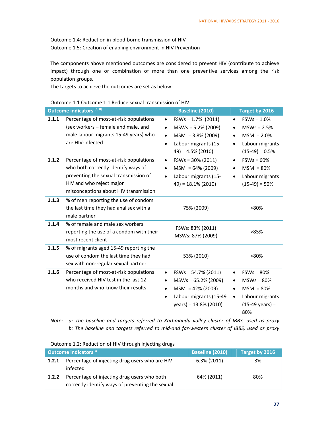Outcome 1.4: Reduction in blood‐borne transmission of HIV

Outcome 1.5: Creation of enabling environment in HIV Prevention

The components above mentioned outcomes are considered to prevent HIV (contribute to achieve impact) through one or combination of more than one preventive services among the risk population groups.

The targets to achieve the outcomes are set as below:

#### Outcome 1.1 Outcome 1.1 Reduce sexual transmission of HIV

|       | Outcome indicators <sup>(a, b)</sup>                                                                                                                                                        | <b>Baseline (2010)</b>                                                                                                                                     | Target by 2016                                                                                                                                         |
|-------|---------------------------------------------------------------------------------------------------------------------------------------------------------------------------------------------|------------------------------------------------------------------------------------------------------------------------------------------------------------|--------------------------------------------------------------------------------------------------------------------------------------------------------|
| 1.1.1 | Percentage of most-at-risk populations<br>(sex workers - female and male, and<br>male labour migrants 15-49 years) who<br>are HIV-infected                                                  | $FSWs = 1.7\%$ (2011)<br>MSWs = 5.2% (2009)<br>$\bullet$<br>$MSM = 3.8\% (2009)$<br>$\bullet$<br>Labour migrants (15-<br>$\bullet$<br>$49$ ) = 4.5% (2010) | $FSWs = 1.0%$<br>$\bullet$<br>$MSWs = 2.5%$<br>$MSM = 2.0%$<br>$\bullet$<br>Labour migrants<br>$\bullet$<br>$(15-49) = 0.5%$                           |
| 1.1.2 | Percentage of most-at-risk populations<br>who both correctly identify ways of<br>preventing the sexual transmission of<br>HIV and who reject major<br>misconceptions about HIV transmission | $FSWs = 30\% (2011)$<br>$\bullet$<br>$MSM = 64\% (2009)$<br>$\bullet$<br>Labour migrants (15-<br>$49$ ) = 18.1% (2010)                                     | $FSWs = 60%$<br>$\bullet$<br>$MSM = 80%$<br>$\bullet$<br>Labour migrants<br>$(15-49) = 50%$                                                            |
| 1.1.3 | % of men reporting the use of condom<br>the last time they had anal sex with a<br>male partner                                                                                              | 75% (2009)                                                                                                                                                 | >80%                                                                                                                                                   |
| 1.1.4 | % of female and male sex workers<br>reporting the use of a condom with their<br>most recent client                                                                                          | FSWs: 83% (2011)<br>MSWs: 87% (2009)                                                                                                                       | >85%                                                                                                                                                   |
| 1.1.5 | % of migrants aged 15-49 reporting the<br>use of condom the last time they had<br>sex with non-regular sexual partner                                                                       | 53% (2010)                                                                                                                                                 | $>80\%$                                                                                                                                                |
| 1.1.6 | Percentage of most-at-risk populations<br>who received HIV test in the last 12<br>months and who know their results                                                                         | $FSWs = 54.7\% (2011)$<br>$\bullet$<br>$MSWs = 65.2\% (2009)$<br>$MSM = 42\% (2009)$<br>Labour migrants (15-49<br>$\bullet$<br>$year) = 13.8% (2010)$      | $FSWs = 80%$<br>$\bullet$<br>$MSWs = 80%$<br>$\bullet$<br>$MSM = 80%$<br>$\bullet$<br>Labour migrants<br>$\bullet$<br>$(15-49 \text{ years}) =$<br>80% |

*Note: a: The baseline and targets referred to Kathmandu valley cluster of IBBS, used as proxy*  b: The baseline and targets referred to mid-and far-western cluster of IBBS, used as proxy

| Outcome indicators * |                                                                                                 | <b>Baseline (2010)</b> | Target by 2016 |
|----------------------|-------------------------------------------------------------------------------------------------|------------------------|----------------|
| 1.2.1                | Percentage of injecting drug users who are HIV-<br>infected                                     | $6.3\%$ (2011)         | 3%             |
| 1.2.2                | Percentage of injecting drug users who both<br>correctly identify ways of preventing the sexual | 64% (2011)             | 80%            |

# Outcome 1.2: Reduction of HIV through injecting drugs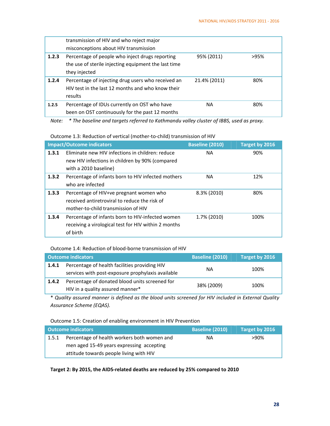|       | transmission of HIV and who reject major             |              |      |
|-------|------------------------------------------------------|--------------|------|
|       | misconceptions about HIV transmission                |              |      |
| 1.2.3 | Percentage of people who inject drugs reporting      | 95% (2011)   | >95% |
|       | the use of sterile injecting equipment the last time |              |      |
|       | they injected                                        |              |      |
| 1.2.4 | Percentage of injecting drug users who received an   | 21.4% (2011) | 80%  |
|       | HIV test in the last 12 months and who know their    |              |      |
|       | results                                              |              |      |
| 1.2.5 | Percentage of IDUs currently on OST who have         | NА           | 80%  |
|       | been on OST continuously for the past 12 months      |              |      |

*Note: \* The baseline and targets referred to Kathmandu valley cluster of IBBS, used as proxy.*

#### Outcome 1.3: Reduction of vertical (mother‐to‐child) transmission of HIV

| <b>Impact/Outcome indicators</b> |                                                                                                                                 | <b>Baseline (2010)</b> | Target by 2016 |
|----------------------------------|---------------------------------------------------------------------------------------------------------------------------------|------------------------|----------------|
| 1.3.1                            | Eliminate new HIV infections in children: reduce<br>new HIV infections in children by 90% (compared<br>with a 2010 baseline)    | <b>NA</b>              | 90%            |
| 1.3.2                            | Percentage of infants born to HIV infected mothers<br>who are infected                                                          | <b>NA</b>              | 12%            |
| 1.3.3                            | Percentage of HIV+ve pregnant women who<br>received antiretroviral to reduce the risk of<br>mother-to-child transmission of HIV | 8.3% (2010)            | 80%            |
| 1.3.4                            | Percentage of infants born to HIV-infected women<br>receiving a virological test for HIV within 2 months<br>of birth            | 1.7% (2010)            | 100%           |

## Outcome 1.4: Reduction of blood‐borne transmission of HIV

| <b>Outcome indicators</b> |                                                                                                    | <b>Baseline (2010)</b> | Target by 2016 |
|---------------------------|----------------------------------------------------------------------------------------------------|------------------------|----------------|
| 1.4.1                     | Percentage of health facilities providing HIV<br>services with post-exposure prophylaxis available | NА                     | 100%           |
| 1.4.2                     | Percentage of donated blood units screened for<br>HIV in a quality assured manner*                 | 38% (2009)             | 100%           |

\* *Quality assured manner is defined as the blood units screened for HIV included in External Quality Assurance Scheme (EQAS).*

#### Outcome 1.5: Creation of enabling environment in HIV Prevention

|       | <b>Outcome indicators</b>                   | <b>Baseline (2010)</b> | Target by 2016 |
|-------|---------------------------------------------|------------------------|----------------|
| 1.5.1 | Percentage of health workers both women and | ΝA                     | >90%           |
|       | men aged 15-49 years expressing accepting   |                        |                |
|       | attitude towards people living with HIV     |                        |                |

**Target 2: By 2015, the AIDS‐related deaths are reduced by 25% compared to 2010**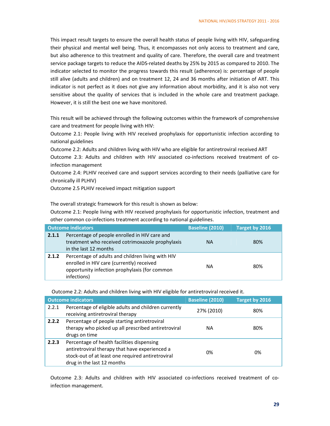This impact result targets to ensure the overall health status of people living with HIV, safeguarding their physical and mental well being. Thus, it encompasses not only access to treatment and care, but also adherence to this treatment and quality of care. Therefore, the overall care and treatment service package targets to reduce the AIDS-related deaths by 25% by 2015 as compared to 2010. The indicator selected to monitor the progress towards this result (adherence) is: percentage of people still alive (adults and children) and on treatment 12, 24 and 36 months after initiation of ART. This indicator is not perfect as it does not give any information about morbidity, and it is also not very sensitive about the quality of services that is included in the whole care and treatment package. However, it is still the best one we have monitored.

This result will be achieved through the following outcomes within the framework of comprehensive care and treatment for people living with HIV:

Outcome 2.1: People living with HIV received prophylaxis for opportunistic infection according to national guidelines

Outcome 2.2: Adults and children living with HIV who are eligible for antiretroviral received ART Outcome 2.3: Adults and children with HIV associated co-infections received treatment of coinfection management

Outcome 2.4: PLHIV received care and support services according to their needs (palliative care for chronically ill PLHIV)

Outcome 2.5 PLHIV received impact mitigation support

The overall strategic framework for this result is shown as below:

Outcome 2.1: People living with HIV received prophylaxis for opportunistic infection, treatment and other common co-infections treatment according to national guidelines.

|       | <b>Outcome indicators</b>                                                                                                                                      | <b>Baseline (2010)</b> | Target by 2016 |
|-------|----------------------------------------------------------------------------------------------------------------------------------------------------------------|------------------------|----------------|
| 2.1.1 | Percentage of people enrolled in HIV care and<br>treatment who received cotrimoxazole prophylaxis<br>in the last 12 months                                     | <b>NA</b>              | 80%            |
| 2.1.2 | Percentage of adults and children living with HIV<br>enrolled in HIV care (currently) received<br>opportunity infection prophylaxis (for common<br>infections) | NА                     | 80%            |

Outcome 2.2: Adults and children living with HIV eligible for antiretroviral received it.

|       | <b>Outcome indicators</b>                                                                                                                                                       | <b>Baseline (2010)</b> | Target by 2016 |
|-------|---------------------------------------------------------------------------------------------------------------------------------------------------------------------------------|------------------------|----------------|
| 2.2.1 | Percentage of eligible adults and children currently<br>receiving antiretroviral therapy                                                                                        | 27% (2010)             | 80%            |
| 2.2.2 | Percentage of people starting antiretroviral<br>therapy who picked up all prescribed antiretroviral<br>drugs on time                                                            | ΝA                     | 80%            |
| 2.2.3 | Percentage of health facilities dispensing<br>antiretroviral therapy that have experienced a<br>stock-out of at least one required antiretroviral<br>drug in the last 12 months | 0%                     | 0%             |

Outcome 2.3: Adults and children with HIV associated co-infections received treatment of coinfection management.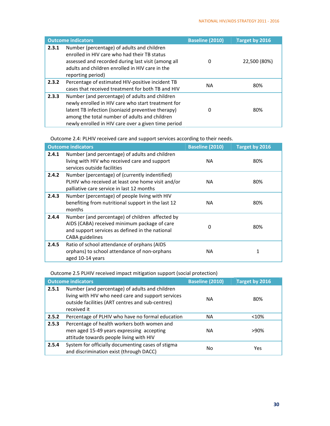|       | <b>Outcome indicators</b>                                                                                                                                                                                                                                          | <b>Baseline (2010)</b> | Target by 2016 |
|-------|--------------------------------------------------------------------------------------------------------------------------------------------------------------------------------------------------------------------------------------------------------------------|------------------------|----------------|
| 2.3.1 | Number (percentage) of adults and children<br>enrolled in HIV care who had their TB status<br>assessed and recorded during last visit (among all<br>adults and children enrolled in HIV care in the<br>reporting period)                                           | 0                      | 22,500 (80%)   |
| 2.3.2 | Percentage of estimated HIV-positive incident TB<br>cases that received treatment for both TB and HIV                                                                                                                                                              | NА                     | 80%            |
| 2.3.3 | Number (and percentage) of adults and children<br>newly enrolled in HIV care who start treatment for<br>latent TB infection (isoniazid preventive therapy)<br>among the total number of adults and children<br>newly enrolled in HIV care over a given time period | 0                      | 80%            |

Outcome 2.4: PLHIV received care and support services according to their needs.

|       | <b>Outcome indicators</b>                                                                                                                                                    | <b>Baseline (2010)</b> | Target by 2016 |
|-------|------------------------------------------------------------------------------------------------------------------------------------------------------------------------------|------------------------|----------------|
| 2.4.1 | Number (and percentage) of adults and children<br>living with HIV who received care and support<br>services outside facilities                                               | NA.                    | 80%            |
| 2.4.2 | Number (percentage) of (currently indentified)<br>PLHIV who received at least one home visit and/or<br>palliative care service in last 12 months                             | <b>NA</b>              | 80%            |
| 2.4.3 | Number (percentage) of people living with HIV<br>benefiting from nutritional support in the last 12<br>months                                                                | NA.                    | 80%            |
| 2.4.4 | Number (and percentage) of children affected by<br>AIDS (CABA) received minimum package of care<br>and support services as defined in the national<br><b>CABA</b> guidelines | 0                      | 80%            |
| 2.4.5 | Ratio of school attendance of orphans (AIDS<br>orphans) to school attendance of non-orphans<br>aged 10-14 years                                                              | NA.                    | 1              |

Outcome 2.5 PLHIV received impact mitigation support (social protection)

| <b>Outcome indicators</b> |                                                                                                                                                                         | <b>Baseline (2010)</b> | Target by 2016 |
|---------------------------|-------------------------------------------------------------------------------------------------------------------------------------------------------------------------|------------------------|----------------|
| 2.5.1                     | Number (and percentage) of adults and children<br>living with HIV who need care and support services<br>outside facilities (ART centres and sub-centres)<br>received it | NA.                    | 80%            |
| 2.5.2                     | Percentage of PLHIV who have no formal education                                                                                                                        | NA.                    | < 10%          |
| 2.5.3                     | Percentage of health workers both women and<br>men aged 15-49 years expressing accepting<br>attitude towards people living with HIV                                     | NA.                    | >90%           |
| 2.5.4                     | System for officially documenting cases of stigma<br>and discrimination exist (through DACC)                                                                            | No                     | Yes            |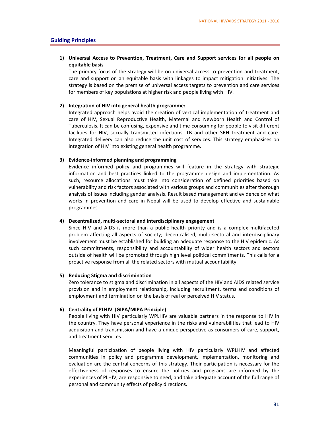#### **Guiding Principles**

#### **1) Universal Access to Prevention, Treatment, Care and Support services for all people on equitable basis**

The primary focus of the strategy will be on universal access to prevention and treatment, care and support on an equitable basis with linkages to impact mitigation initiatives. The strategy is based on the premise of universal access targets to prevention and care services for members of key populations at higher risk and people living with HIV.

#### **2) Integration of HIV into general health programme:**

Integrated approach helps avoid the creation of vertical implementation of treatment and care of HIV, Sexual Reproductive Health, Maternal and Newborn Health and Control of Tuberculosis. It can be confusing, expensive and time‐consuming for people to visit different facilities for HIV, sexually transmitted infections, TB and other SRH treatment and care. Integrated delivery can also reduce the unit cost of services. This strategy emphasises on integration of HIV into existing general health programme.

#### **3) Evidence‐informed planning and programming**

Evidence informed policy and programmes will feature in the strategy with strategic information and best practices linked to the programme design and implementation. As such, resource allocations must take into consideration of defined priorities based on vulnerability and risk factors associated with various groups and communities after thorough analysis of issues including gender analysis. Result based management and evidence on what works in prevention and care in Nepal will be used to develop effective and sustainable programmes.

#### **4) Decentralized, multi‐sectoral and interdisciplinary engagement**

Since HIV and AIDS is more than a public health priority and is a complex multifaceted problem affecting all aspects of society; decentralised, multi‐sectoral and interdisciplinary involvement must be established for building an adequate response to the HIV epidemic. As such commitments, responsibility and accountability of wider health sectors and sectors outside of health will be promoted through high level political commitments. This calls for a proactive response from all the related sectors with mutual accountability.

#### **5) Reducing Stigma and discrimination**

Zero tolerance to stigma and discrimination in all aspects of the HIV and AIDS related service provision and in employment relationship, including recruitment, terms and conditions of employment and termination on the basis of real or perceived HIV status.

#### **6) Centrality of PLHIV** (**GIPA/MIPA Principle)**

People living with HIV particularly WPLHIV are valuable partners in the response to HIV in the country. They have personal experience in the risks and vulnerabilities that lead to HIV acquisition and transmission and have a unique perspective as consumers of care, support, and treatment services.

Meaningful participation of people living with HIV particularly WPLHIV and affected communities in policy and programme development, implementation, monitoring and evaluation are the central concerns of this strategy. Their participation is necessary for the effectiveness of responses to ensure the policies and programs are informed by the experiences of PLHIV, are responsive to need, and take adequate account of the full range of personal and community effects of policy directions.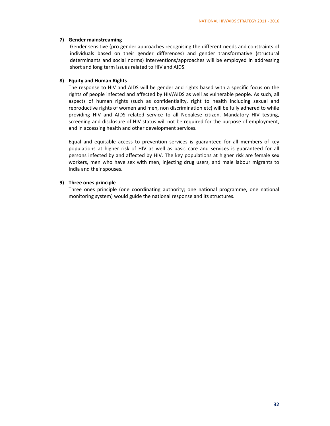#### **7) Gender mainstreaming**

Gender sensitive (pro gender approaches recognising the different needs and constraints of individuals based on their gender differences) and gender transformative (structural determinants and social norms) interventions/approaches will be employed in addressing short and long term issues related to HIV and AIDS.

#### **8) Equity and Human Rights**

The response to HIV and AIDS will be gender and rights based with a specific focus on the rights of people infected and affected by HIV/AIDS as well as vulnerable people. As such, all aspects of human rights (such as confidentiality, right to health including sexual and reproductive rights of women and men, non discrimination etc) will be fully adhered to while providing HIV and AIDS related service to all Nepalese citizen. Mandatory HIV testing, screening and disclosure of HIV status will not be required for the purpose of employment, and in accessing health and other development services.

Equal and equitable access to prevention services is guaranteed for all members of key populations at higher risk of HIV as well as basic care and services is guaranteed for all persons infected by and affected by HIV. The key populations at higher risk are female sex workers, men who have sex with men, injecting drug users, and male labour migrants to India and their spouses.

#### **9) Three ones principle**

Three ones principle (one coordinating authority; one national programme, one national monitoring system) would guide the national response and its structures.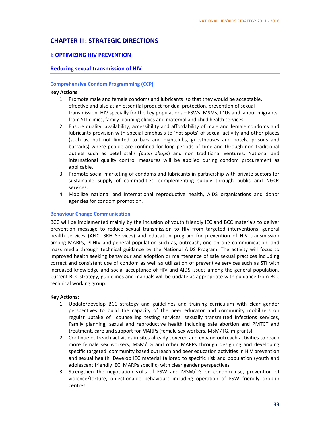# **CHAPTER III: STRATEGIC DIRECTIONS**

#### **I: OPTIMIZING HIV PREVENTION**

#### **Reducing sexual transmission of HIV**

#### **Comprehensive Condom Programming (CCP)**

#### **Key Actions**

- 1. Promote male and female condoms and lubricants so that they would be acceptable, effective and also as an essential product for dual protection, prevention of sexual transmission, HIV specially for the key populations – FSWs, MSMs, IDUs and labour migrants from STI clinics, family planning clinics and maternal and child health services.
- 2. Ensure quality, availability, accessibility and affordability of male and female condoms and lubricants provision with special emphasis to 'hot spots' of sexual activity and other places (such as, but not limited to bars and nightclubs, guesthouses and hotels, prisons and barracks) where people are confined for long periods of time and through non traditional outlets such as betel stalls *(paan shops*) and non traditional ventures. National and international quality control measures will be applied during condom procurement as applicable.
- 3. Promote social marketing of condoms and lubricants in partnership with private sectors for sustainable supply of commodities, complementing supply through public and NGOs services.
- 4. Mobilize national and international reproductive health, AIDS organisations and donor agencies for condom promotion.

#### **Behaviour Change Communication**

BCC will be implemented mainly by the inclusion of youth friendly IEC and BCC materials to deliver prevention message to reduce sexual transmission to HIV from targeted interventions, general health services (ANC, SRH Services) and education program for prevention of HIV transmission among MARPs, PLHIV and general population such as, outreach, one on one communication, and mass media through technical guidance by the National AIDS Program. The activity will focus to improved health seeking behaviour and adoption or maintenance of safe sexual practices including correct and consistent use of condom as well as utilization of preventive services such as STI with increased knowledge and social acceptance of HIV and AIDS issues among the general population. Current BCC strategy, guidelines and manuals will be update as appropriate with guidance from BCC technical working group.

- 1. Update/develop BCC strategy and guidelines and training curriculum with clear gender perspectives to build the capacity of the peer educator and community mobilizers on regular uptake of counselling testing services, sexually transmitted infections services, Family planning, sexual and reproductive health including safe abortion and PMTCT and treatment, care and support for MARPs (female sex workers, MSM/TG, migrants).
- 2. Continue outreach activities in sites already covered and expand outreach activities to reach more female sex workers, MSM/TG and other MARPs through designing and developing specific targeted community based outreach and peer education activities in HIV prevention and sexual health. Develop IEC material tailored to specific risk and population (youth and adolescent friendly IEC, MARPs specific) with clear gender perspectives.
- 3. Strengthen the negotiation skills of FSW and MSM/TG on condom use, prevention of violence/torture, objectionable behaviours including operation of FSW friendly drop‐in centres.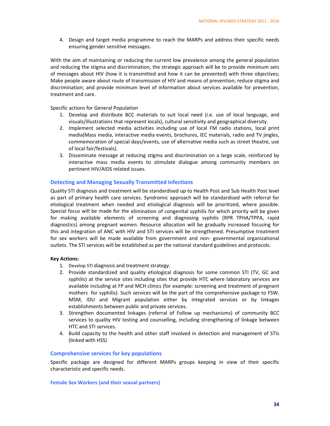4. Design and target media programme to reach the MARPs and address their specific needs ensuring gender sensitive messages.

With the aim of maintaining or reducing the current low prevalence among the general population and reducing the stigma and discrimination, the strategic approach will be to provide minimum sets of messages about HIV (how it is transmitted and how it can be prevented) with three objectives; Make people aware about route of transmission of HIV and means of prevention; reduce stigma and discrimination; and provide minimum level of information about services available for prevention, treatment and care.

Specific actions for General Population

- 1. Develop and distribute BCC materials to suit local need (i.e. use of local language, and visuals/illustrations that represent locals), cultural sensitivity and geographical diversity.
- 2. Implement selected media activities including use of local FM radio stations, local print media(Mass media, interactive media events, brochures, IEC materials, radio and TV jingles, commemoration of special days/events, use of alternative media such as street theatre, use of local fair/festivals).
- 3. Disseminate message at reducing stigma and discrimination on a large scale, reinforced by interactive mass media events to stimulate dialogue among community members on pertinent HIV/AIDS related issues.

#### **Detecting and Managing Sexually Transmitted Infections**

Quality STI diagnosis and treatment will be standardised up to Health Post and Sub Health Post level as part of primary health care services. Syndromic approach will be standardised with referral for etiological treatment when needed and etiological diagnosis will be prioritized, where possible. Special focus will be made for the elimination of congenital syphilis for which priority will be given for making available elements of screening and diagnosing syphilis (RPR TPHA/TPPA, rapid diagnostics) among pregnant women. Resource allocation will be gradually increased focusing for this and integration of ANC with HIV and STI services will be strengthened. Presumptive treatment for sex workers will be made available from government and non‐ governmental organizational outlets. The STI services will be established as per the national standard guidelines and protocols.

#### **Key Actions:**

- 1. Develop STI diagnosis and treatment strategy.
- 2. Provide standardized and quality etiological diagnosis for some common STI (TV, GC and syphilis) at the service sites including sites that provide HTC where laboratory services are available including at FP and MCH clinics (for example: screening and treatment of pregnant mothers for syphilis). Such services will be the part of the comprehensive package to FSW, MSM, IDU and Migrant population either by integrated services or by linkages establishments between public and private services.
- 3. Strengthen documented linkages (referral of Follow up mechanisms) of community BCC services to quality HIV testing and counselling, including strengthening of linkage between HTC and STI services.
- 4. Build capacity to the health and other staff involved in detection and management of STIs (linked with HSS)

#### **Comprehensive services for key populations**

Specific package are designed for different MARPs groups keeping in view of their specific characteristic and specific needs.

**Female Sex Workers (and their sexual partners)**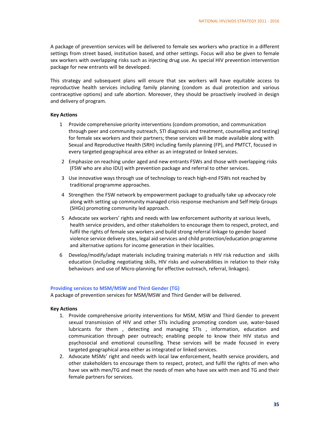A package of prevention services will be delivered to female sex workers who practice in a different settings from street based, institution based, and other settings. Focus will also be given to female sex workers with overlapping risks such as injecting drug use. As special HIV prevention intervention package for new entrants will be developed.

This strategy and subsequent plans will ensure that sex workers will have equitable access to reproductive health services including family planning (condom as dual protection and various contraceptive options) and safe abortion. Moreover, they should be proactively involved in design and delivery of program.

#### **Key Actions**

- 1 Provide comprehensive priority interventions (condom promotion, and communication through peer and community outreach, STI diagnosis and treatment, counselling and testing) for female sex workers and their partners; these services will be made available along with Sexual and Reproductive Health (SRH) including family planning (FP), and PMTCT, focused in every targeted geographical area either as an integrated or linked services.
- 2 Emphasize on reaching under aged and new entrants FSWs and those with overlapping risks (FSW who are also IDU) with prevention package and referral to other services.
- 3 Use innovative ways through use of technology to reach high‐end FSWs not reached by traditional programme approaches.
- 4 Strengthen the FSW network by empowerment package to gradually take up advocacy role along with setting up community managed crisis response mechanism and Self Help Groups (SHGs) promoting community led approach.
- 5 Advocate sex workers' rights and needs with law enforcement authority at various levels, health service providers, and other stakeholders to encourage them to respect, protect, and fulfil the rights of female sex workers and build strong referral linkage to gender based violence service delivery sites, legal aid services and child protection/education programme and alternative options for income generation in their localities.
- 6 Develop/modify/adapt materials including training materials n HIV risk reduction and skills education (including negotiating skills, HIV risks and vulnerabilities in relation to their risky behaviours and use of Micro‐planning for effective outreach, referral, linkages).

#### **Providing services to MSM/MSW and Third Gender (TG)**

A package of prevention services for MSM/MSW and Third Gender will be delivered.

- 1. Provide comprehensive priority interventions for MSM, MSW and Third Gender to prevent sexual transmission of HIV and other STIs including promoting condom use, water-based lubricants for them , detecting and managing STIs , information, education and communication through peer outreach; enabling people to know their HIV status and psychosocial and emotional counselling. These services will be made focused in every targeted geographical area either as integrated or linked services.
- 2. Advocate MSMs' right and needs with local law enforcement, health service providers, and other stakeholders to encourage them to respect, protect, and fulfil the rights of men who have sex with men/TG and meet the needs of men who have sex with men and TG and their female partners for services.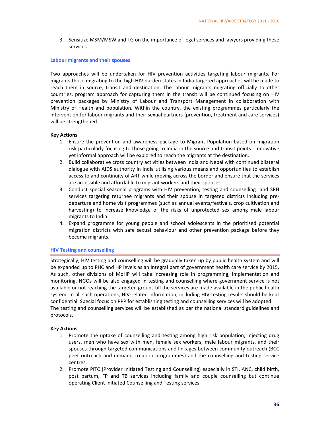3. Sensitize MSM/MSW and TG on the importance of legal services and lawyers providing these services.

#### **Labour migrants and their spouses**

Two approaches will be undertaken for HIV prevention activities targeting labour migrants. For migrants those migrating to the high HIV burden states in India targeted approaches will be made to reach them in source, transit and destination. The labour migrants migrating officially to other countries, program approach for capturing them in the transit will be continued focusing on HIV prevention packages by Ministry of Labour and Transport Management in collaboration with Ministry of Health and population. Within the country, the existing programmes particularly the intervention for labour migrants and their sexual partners (prevention, treatment and care services) will be strengthened.

#### **Key Actions**

- 1. Ensure the prevention and awareness package to Migrant Population based on migration risk particularly focusing to those going to India in the source and transit points. Innovative yet informal approach will be explored to reach the migrants at the destination.
- 2. Build collaborative cross country activities between India and Nepal with continued bilateral dialogue with AIDS authority in India utilising various means and opportunities to establish access to and continuity of ART while moving across the border and ensure that the services are accessible and affordable to migrant workers and their spouses.
- 3. Conduct special seasonal programs with HIV prevention, testing and counselling and SRH services targeting returnee migrants and their spouse in targeted districts including predeparture and home visit programmes (such as annual events/festivals, crop cultivation and harvesting) to increase knowledge of the risks of unprotected sex among male labour migrants to India.
- 4. Expand programme for young people and school adolescents in the prioritised potential migration districts with safe sexual behaviour and other prevention package before they become migrants.

#### **HIV Testing and counselling**

Strategically, HIV testing and counselling will be gradually taken up by public health system and will be expanded up to PHC and HP levels as an integral part of government health care service by 2015. As such, other divisions of MoHP will take increasing role in programming, implementation and monitoring. NGOs will be also engaged in testing and counselling where government service is not available or not reaching the targeted groups till the services are made available in the public health system. In all such operations, HIV-related information, including HIV testing results should be kept confidential. Special focus on PPP for establishing testing and counselling services will be adopted. The testing and counselling services will be established as per the national standard guidelines and protocols.

- 1. Promote the uptake of counselling and testing among high risk population; injecting drug users, men who have sex with men, female sex workers, male labour migrants, and their spouses through targeted communications and linkages between community outreach (BCC peer outreach and demand creation programmes) and the counselling and testing service centres.
- 2. Promote PITC (Provider Initiated Testing and Counselling) especially in STI, ANC, child birth, post partum, FP and TB services including family and couple counselling but continue operating Client Initiated Counselling and Testing services.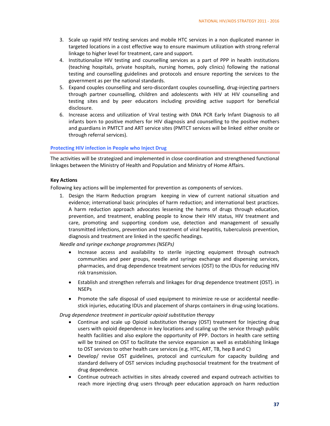- 3. Scale up rapid HIV testing services and mobile HTC services in a non duplicated manner in targeted locations in a cost effective way to ensure maximum utilization with strong referral linkage to higher level for treatment, care and support.
- 4. Institutionalize HIV testing and counselling services as a part of PPP in health institutions (teaching hospitals, private hospitals, nursing homes, poly clinics) following the national testing and counselling guidelines and protocols and ensure reporting the services to the government as per the national standards.
- 5. Expand couples counselling and sero-discordant couples counselling, drug-injecting partners through partner counselling, children and adolescents with HIV at HIV counselling and testing sites and by peer educators including providing active support for beneficial disclosure.
- 6. Increase access and utilization of Viral testing with DNA PCR Early Infant Diagnosis to all infants born to positive mothers for HIV diagnosis and counselling to the positive mothers and guardians in PMTCT and ART service sites (PMTCT services will be linked either onsite or through referral services).

#### **Protecting HIV infection in People who Inject Drug**

The activities will be strategized and implemented in close coordination and strengthened functional linkages between the Ministry of Health and Population and Ministry of Home Affairs.

#### **Key Actions**

Following key actions will be implemented for prevention as components of services.

1. Design the Harm Reduction program keeping in view of current national situation and evidence; international basic principles of harm reduction; and international best practices. A harm reduction approach advocates lessening the harms of drugs through education, prevention, and treatment, enabling people to know their HIV status, HIV treatment and care, promoting and supporting condom use, detection and management of sexually transmitted infections, prevention and treatment of viral hepatitis, tuberculosis prevention, diagnosis and treatment are linked in the specific headings.

*Needle and syringe exchange programmes (NSEPs)*

- Increase access and availability to sterile injecting equipment through outreach communities and peer groups, needle and syringe exchange and dispensing services, pharmacies, and drug dependence treatment services (OST) to the IDUs for reducing HIV risk transmission.
- Establish and strengthen referrals and linkages for drug dependence treatment (OST). in **NSEPs**
- Promote the safe disposal of used equipment to minimize re‐use or accidental needle‐ stick injuries, educating IDUs and placement of sharps containers in drug‐using locations.

*Drug dependence treatment in particular opioid substitution therapy*

- Continue and scale up Opioid substitution therapy (OST) treatment for Injecting drug users with opioid dependence in key locations and scaling up the service through public health facilities and also explore the opportunity of PPP. Doctors in health care setting will be trained on OST to facilitate the service expansion as well as establishing linkage to OST services to other health care services (e.g. HTC, ART, TB, hep B and C)
- Develop/ revise OST guidelines, protocol and curriculum for capacity building and standard delivery of OST services including psychosocial treatment for the treatment of drug dependence.
- Continue outreach activities in sites already covered and expand outreach activities to reach more injecting drug users through peer education approach on harm reduction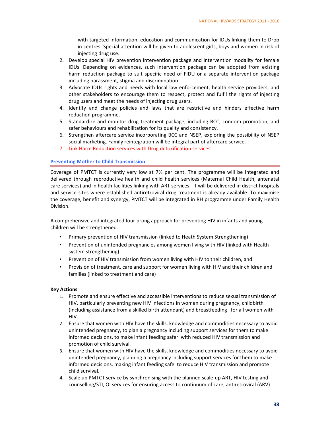with targeted information, education and communication for IDUs linking them to Drop in centres. Special attention will be given to adolescent girls, boys and women in risk of injecting drug use.

- 2. Develop special HIV prevention intervention package and intervention modality for female IDUs. Depending on evidences, such intervention package can be adopted from existing harm reduction package to suit specific need of FIDU or a separate intervention package including harassment, stigma and discrimination.
- 3. Advocate IDUs rights and needs with local law enforcement, health service providers, and other stakeholders to encourage them to respect, protect and fulfil the rights of injecting drug users and meet the needs of injecting drug users.
- 4. Identify and change policies and laws that are restrictive and hinders effective harm reduction programme.
- 5. Standardize and monitor drug treatment package, including BCC, condom promotion, and safer behaviours and rehabilitation for its quality and consistency.
- 6. Strengthen aftercare service incorporating BCC and NSEP, exploring the possibility of NSEP social marketing. Family reintegration will be integral part of aftercare service.
- 7. Link Harm Reduction services with Drug detoxification services.

#### **Preventing Mother to Child Transmission**

Coverage of PMTCT is currently very low at 7% per cent. The programme will be integrated and delivered through reproductive health and child health services (Maternal Child Health, antenatal care services) and in health facilities linking with ART services. It will be delivered in district hospitals and service sites where established antiretroviral drug treatment is already available. To maximise the coverage, benefit and synergy, PMTCT will be integrated in RH programme under Family Health Division.

A comprehensive and integrated four prong approach for preventing HIV in infants and young children will be strengthened.

- Primary prevention of HIV transmission (linked to Heath System Strengthening)
- Prevention of unintended pregnancies among women living with HIV (linked with Health system strengthening)
- Prevention of HIV transmission from women living with HIV to their children, and
- Provision of treatment, care and support for women living with HIV and their children and families (linked to treatment and care)

- 1. Promote and ensure effective and accessible interventions to reduce sexual transmission of HIV, particularly preventing new HIV infections in women during pregnancy, childbirth (including assistance from a skilled birth attendant) and breastfeeding for all women with HIV.
- 2. Ensure that women with HIV have the skills, knowledge and commodities necessary to avoid unintended pregnancy, to plan a pregnancy including support services for them to make informed decisions, to make infant feeding safer with reduced HIV transmission and promotion of child survival.
- 3. Ensure that women with HIV have the skills, knowledge and commodities necessary to avoid unintended pregnancy, planning a pregnancy including support services for them to make informed decisions, making infant feeding safe to reduce HIV transmission and promote child survival.
- 4. Scale up PMTCT service by synchronising with the planned scale-up ART, HIV testing and counselling/STI, OI services for ensuring access to continuum of care, antiretroviral (ARV)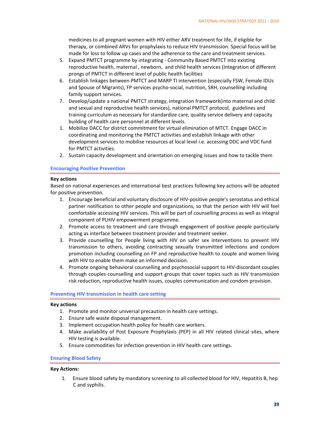medicines to all pregnant women with HIV either ARV treatment for life, if eligible for therapy, or combined ARVs for prophylaxis to reduce HIV transmission. Special focus will be made for loss to follow up cases and the adherence to the care and treatment services.

- 5. Expand PMTCT programme by integrating Community Based PMTCT into existing reproductive health, maternal , newborn, and child health services (Integration of different prongs of PMTCT in different level of public health facilities
- 6. Establish linkages between PMTCT and MARP TI intervention (especially FSW, Female IDUs and Spouse of Migrants), FP services psycho‐social, nutrition, SRH, counselling including family support services.
- 7. Develop/update a national PMTCT strategy, integration framework(into maternal and child and sexual and reproductive health services), national PMTCT protocol, guidelines and training curriculum as necessary for standardize care, quality service delivery and capacity building of health care personnel at different levels.
- 1. Mobilize DACC for district commitment for virtual elimination of MTCT. Engage DACC in coordinating and monitoring the PMTCT activities and establish linkage with other development services to mobilise resources at local level i.e. accessing DDC and VDC fund for PMTCT activities.
- 2. Sustain capacity development and orientation on emerging issues and how to tackle them

#### **Encouraging Positive Prevention**

#### **Key actions**

Based on national experiences and international best practices following key actions will be adopted for positive prevention.

- 1. Encourage beneficial and voluntary disclosure of HIV‐positive people's serostatus and ethical partner notification to other people and organizations, so that the person with HIV will feel comfortable accessing HIV services. This will be part of counselling process as well as integral component of PLHIV empowerment programme.
- 2. Promote access to treatment and care through engagement of positive people particularly acting as interface between treatment provider and treatment seeker.
- 3. Provide counselling for People living with HIV on safer sex interventions to prevent HIV transmission to others, avoiding contracting sexually transmitted infections and condom promotion including counselling on FP and reproductive health to couple and women living with HIV to enable them make an informed decision.
- 4. Promote ongoing behavioral counselling and psychosocial support to HIV‐discordant couples through couples counselling and support groups that cover topics such as HIV transmission risk reduction, reproductive health issues, couples communication and condom provision.

#### **Preventing HIV transmission in health care setting**

#### **Key actions**

- 1. Promote and monitor universal precaution in health care settings.
- 2. Ensure safe waste disposal management.
- 3. Implement occupation health policy for health care workers.
- 4. Make availability of Post Exposure Prophylaxis (PEP) in all HIV related clinical sites, where HIV testing is available.
- 5. Ensure commodities for infection prevention in HIV health care settings.

#### **Ensuring Blood Safety**

#### **Key Actions:**

1. Ensure blood safety by mandatory screening to all collected blood for HIV, Hepatitis B, hep C and syphilis.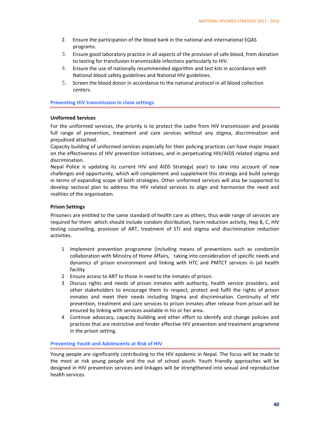- 2. Ensure the participation of the blood bank in the national and international EQAS programs.
- 3. Ensure good laboratory practice in all aspects of the provision of safe blood, from donation to testing for transfusion‐transmissible infections particularly to HIV.
- 4. Ensure the use of nationally recommended algorithm and test kits in accordance with National blood safety guidelines and National HIV guidelines.
- 5. Screen the blood donor in accordance to the national protocol in all blood collection centers.

**Preventing HIV transmission in close settings**

#### **Uniformed Services**

For the uniformed services, the priority is to protect the cadre from HIV transmission and provide full range of prevention, treatment and care services without any stigma, discrimination and prejudiced attached.

Capacity building of uniformed services especially for their policing practices can have major impact on the effectiveness of HIV prevention initiatives, and in perpetuating HIV/AIDS related stigma and discrimination.

Nepal Police is updating its current HIV and AIDS Strategy( year) to take into account of new challenges and opportunity, which will complement and supplement this strategy and build synergy in terms of expanding scope of both strategies. Other uniformed services will also be supported to develop sectoral plan to address the HIV related services to align and harmonize the need and realities of the organisation.

#### **Prison Settings**

Prisoners are entitled to the same standard of health care as others, thus wide range of services are required for them which should include condom distribution, harm reduction activity, Hep B, C, HIV testing counselling, provision of ART, treatment of STI and stigma and discrimination reduction activities.

- 1 Implement prevention programme (including means of preventions such as condom)in collaboration with Ministry of Home Affairs, taking into consideration of specific needs and dynamics of prison environment and linking with HTC and PMTCT services in jail health facility
- 2 Ensure access to ART to those in need to the inmates of prison.
- 3 Discuss rights and needs of prison inmates with authority, health service providers, and other stakeholders to encourage them to respect, protect and fulfil the rights of prison inmates and meet their needs including Stigma and discrimination. Continuity of HIV prevention, treatment and care services to prison inmates after release from prison will be ensured by linking with services available in his or her area.
- 4 Continue advocacy, capacity building and other effort to identify and change policies and practices that are restrictive and hinder effective HIV prevention and treatment programme in the prison setting.

#### **Preventing Youth and Adolescents at Risk of HIV**

Young people are significantly contributing to the HIV epidemic in Nepal. The focus will be made to the most at risk young people and the out of school youth. Youth friendly approaches will be designed in HIV prevention services and linkages will be strengthened into sexual and reproductive health services.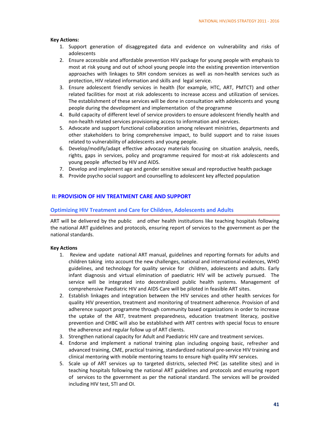#### **Key Actions:**

- 1. Support generation of disaggregated data and evidence on vulnerability and risks of adolescents
- 2. Ensure accessible and affordable prevention HIV package for young people with emphasis to most at risk young and out of school young people into the existing prevention intervention approaches with linkages to SRH condom services as well as non‐health services such as protection, HIV related information and skills and legal service.
- 3. Ensure adolescent friendly services in health (for example, HTC, ART, PMTCT) and other related facilities for most at risk adolescents to increase access and utilization of services. The establishment of these services will be done in consultation with adolescents and young people during the development and implementation of the programme
- 4. Build capacity of different level of service providers to ensure adolescent friendly health and non‐health related services provisioning access to information and services.
- 5. Advocate and support functional collaboration among relevant ministries, departments and other stakeholders to bring comprehensive impact, to build support and to raise issues related to vulnerability of adolescents and young people.
- 6. Develop/modify/adapt effective advocacy materials focusing on situation analysis, needs, rights, gaps in services, policy and programme required for most-at risk adolescents and young people affected by HIV and AIDS.
- 7. Develop and implement age and gender sensitive sexual and reproductive health package
- 8. Provide psycho social support and counselling to adolescent key affected population

#### **II: PROVISION OF HIV TREATMENT CARE AND SUPPORT**

#### **Optimizing HIV Treatment and Care for Children, Adolescents and Adults**

ART will be delivered by the public and other health institutions like teaching hospitals following the national ART guidelines and protocols, ensuring report of services to the government as per the national standards.

- 1. Review and update national ART manual, guidelines and reporting formats for adults and children taking into account the new challenges, national and international evidences, WHO guidelines, and technology for quality service for children, adolescents and adults. Early infant diagnosis and virtual elimination of paediatric HIV will be actively pursued. The service will be integrated into decentralized public health systems. Management of comprehensive Paediatric HIV and AIDS Care will be piloted in feasible ART sites.
- 2. Establish linkages and integration between the HIV services and other health services for quality HIV prevention, treatment and monitoring of treatment adherence. Provision of and adherence support programme through community based organizations in order to increase the uptake of the ART, treatment preparedness, education treatment literacy, positive prevention and CHBC will also be established with ART centres with special focus to ensure the adherence and regular follow up of ART clients.
- 3. Strengthen national capacity for Adult and Paediatric HIV care and treatment services.
- 4. Endorse and implement a national training plan including ongoing basic, refresher and advanced training, CME, practical training, standardized national pre‐service HIV training and clinical mentoring with mobile mentoring teams to ensure high quality HIV services.
- 5. Scale up of ART services up to targeted districts, selected PHC (as satellite sites) and in teaching hospitals following the national ART guidelines and protocols and ensuring report of services to the government as per the national standard. The services will be provided including HIV test, STI and OI.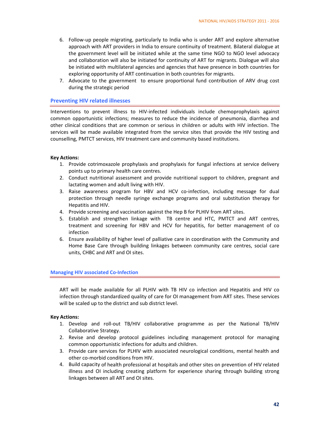- 6. Follow‐up people migrating, particularly to India who is under ART and explore alternative approach with ART providers in India to ensure continuity of treatment. Bilateral dialogue at the government level will be initiated while at the same time NGO to NGO level advocacy and collaboration will also be initiated for continuity of ART for migrants. Dialogue will also be initiated with multilateral agencies and agencies that have presence in both countries for exploring opportunity of ART continuation in both countries for migrants.
- 7. Advocate to the government to ensure proportional fund contribution of ARV drug cost during the strategic period

#### **Preventing HIV related illnesses**

Interventions to prevent illness to HIV‐infected individuals include chemoprophylaxis against common opportunistic infections; measures to reduce the incidence of pneumonia, diarrhea and other clinical conditions that are common or serious in children or adults with HIV infection. The services will be made available integrated from the service sites that provide the HIV testing and counselling, PMTCT services, HIV treatment care and community based institutions.

#### **Key Actions:**

- 1. Provide cotrimoxazole prophylaxis and prophylaxis for fungal infections at service delivery points up to primary health care centres.
- 2. Conduct nutritional assessment and provide nutritional support to children, pregnant and lactating women and adult living with HIV.
- 3. Raise awareness program for HBV and HCV co-infection, including message for dual protection through needle syringe exchange programs and oral substitution therapy for Hepatitis and HIV.
- 4. Provide screening and vaccination against the Hep B for PLHIV from ART sites.
- 5. Establish and strengthen linkage with TB centre and HTC, PMTCT and ART centres, treatment and screening for HBV and HCV for hepatitis, for better management of co infection
- 6. Ensure availability of higher level of palliative care in coordination with the Community and Home Base Care through building linkages between community care centres, social care units, CHBC and ART and OI sites.

#### **Managing HIV associated Co‐Infection**

ART will be made available for all PLHIV with TB HIV co infection and Hepatitis and HIV co infection through standardized quality of care for OI management from ART sites. These services will be scaled up to the district and sub district level.

- 1. Develop and roll‐out TB/HIV collaborative programme as per the National TB/HIV Collaborative Strategy.
- 2. Revise and develop protocol guidelines including management protocol for managing common opportunistic infections for adults and children.
- 3. Provide care services for PLHIV with associated neurological conditions, mental health and other co‐morbid conditions from HIV.
- 4. Build capacity of health professional at hospitals and other sites on prevention of HIV related illness and OI including creating platform for experience sharing through building strong linkages between all ART and OI sites.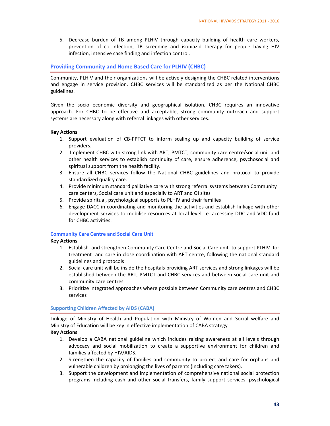5. Decrease burden of TB among PLHIV through capacity building of health care workers, prevention of co infection, TB screening and isoniazid therapy for people having HIV infection, intensive case finding and infection control.

#### **Providing Community and Home Based Care for PLHIV (CHBC)**

Community, PLHIV and their organizations will be actively designing the CHBC related interventions and engage in service provision. CHBC services will be standardized as per the National CHBC guidelines.

Given the socio economic diversity and geographical isolation, CHBC requires an innovative approach. For CHBC to be effective and acceptable, strong community outreach and support systems are necessary along with referral linkages with other services.

#### **Key Actions**

- 1. Support evaluation of CB‐PPTCT to inform scaling up and capacity building of service providers.
- 2. Implement CHBC with strong link with ART, PMTCT, community care centre/social unit and other health services to establish continuity of care, ensure adherence, psychosocial and spiritual support from the health facility.
- 3. Ensure all CHBC services follow the National CHBC guidelines and protocol to provide standardized quality care.
- 4. Provide minimum standard palliative care with strong referral systems between Community care centers, Social care unit and especially to ART and OI sites
- 5. Provide spiritual, psychological supports to PLHIV and their families
- 6. Engage DACC in coordinating and monitoring the activities and establish linkage with other development services to mobilise resources at local level i.e. accessing DDC and VDC fund for CHBC activities.

#### **Community Care Centre and Social Care Unit**

#### **Key Actions**

- 1. Establish and strengthen Community Care Centre and Social Care unit to support PLHIV for treatment and care in close coordination with ART centre, following the national standard guidelines and protocols
- 2. Social care unit will be inside the hospitals providing ART services and strong linkages will be established between the ART, PMTCT and CHBC services and between social care unit and community care centres
- 3. Prioritize integrated approaches where possible between Community care centres and CHBC services

#### **Supporting Children Affected by AIDS (CABA)**

Linkage of Ministry of Health and Population with Ministry of Women and Social welfare and Ministry of Education will be key in effective implementation of CABA strategy

- 1. Develop a CABA national guideline which includes raising awareness at all levels through advocacy and social mobilization to create a supportive environment for children and families affected by HIV/AIDS.
- 2. Strengthen the capacity of families and community to protect and care for orphans and vulnerable children by prolonging the lives of parents (including care takers).
- 3. Support the development and implementation of comprehensive national social protection programs including cash and other social transfers, family support services, psychological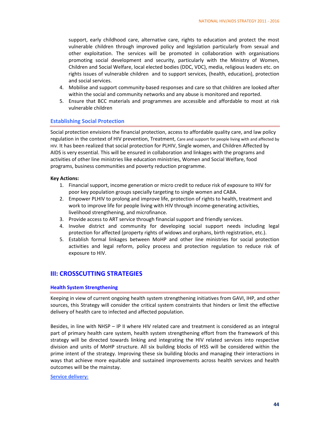support, early childhood care, alternative care, rights to education and protect the most vulnerable children through improved policy and legislation particularly from sexual and other exploitation. The services will be promoted in collaboration with organisations promoting social development and security, particularly with the Ministry of Women, Children and Social Welfare, local elected bodies (DDC, VDC), media, religious leaders etc. on rights issues of vulnerable children and to support services, (health, education), protection and social services.

- 4. Mobilise and support community‐based responses and care so that children are looked after within the social and community networks and any abuse is monitored and reported.
- 5. Ensure that BCC materials and programmes are accessible and affordable to most at risk vulnerable children

#### **Establishing Social Protection**

Social protection envisions the financial protection, access to affordable quality care, and law policy regulation in the context of HIV prevention, Treatment, Care and support for people living with and affected by HIV. It has been realized that social protection for PLHIV, Single women, and Children Affected by AIDS is very essential. This will be ensured in collaboration and linkages with the programs and activities of other line ministries like education ministries, Women and Social Welfare, food programs, business communities and poverty reduction programme.

#### **Key Actions:**

- 1. Financial support, income generation or micro credit to reduce risk of exposure to HIV for poor key population groups specially targeting to single women and CABA.
- 2. Empower PLHIV to prolong and improve life, protection of rights to health, treatment and work to improve life for people living with HIV through income-generating activities, livelihood strengthening, and microfinance.
- 3. Provide access to ART service through financial support and friendly services.
- 4. Involve district and community for developing social support needs including legal protection for affected (property rights of widows and orphans, birth registration, etc.).
- 5. Establish formal linkages between MoHP and other line ministries for social protection activities and legal reform, policy process and protection regulation to reduce risk of exposure to HIV.

# **III: CROSSCUTTING STRATEGIES**

#### **Health System Strengthening**

Keeping in view of current ongoing health system strengthening initiatives from GAVI, IHP, and other sources, this Strategy will consider the critical system constraints that hinders or limit the effective delivery of health care to infected and affected population.

Besides, in line with NHSP – IP II where HIV related care and treatment is considered as an integral part of primary health care system, health system strengthening effort from the framework of this strategy will be directed towards linking and integrating the HIV related services into respective division and units of MoHP structure. All six building blocks of HSS will be considered within the prime intent of the strategy. Improving these six building blocks and managing their interactions in ways that achieve more equitable and sustained improvements across health services and health outcomes will be the mainstay.

#### **Service delivery:**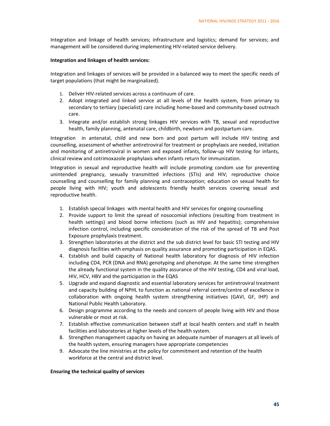Integration and linkage of health services; infrastructure and logistics; demand for services; and management will be considered during implementing HIV‐related service delivery.

#### **Integration and linkages of health services:**

Integration and linkages of services will be provided in a balanced way to meet the specific needs of target populations (that might be marginalized).

- 1. Deliver HIV‐related services across a continuum of care.
- 2. Adopt integrated and linked service at all levels of the health system, from primary to secondary to tertiary (specialist) care including home-based and community-based outreach care.
- 3. Integrate and/or establish strong linkages HIV services with TB, sexual and reproductive health, family planning, antenatal care, childbirth, newborn and postpartum care.

Integration in antenatal, child and new born and post partum will include HIV testing and counselling, assessment of whether antiretroviral for treatment or prophylaxis are needed, initiation and monitoring of antiretroviral in women and exposed infants, follow‐up HIV testing for infants, clinical review and cotrimoxazole prophylaxis when infants return for immunization.

Integration in sexual and reproductive health will include promoting condom use for preventing unintended pregnancy, sexually transmitted infections (STIs) and HIV; reproductive choice counselling and counselling for family planning and contraception; education on sexual health for people living with HIV; youth and adolescents friendly health services covering sexual and reproductive health.

- 1. Establish special linkages with mental health and HIV services for ongoing counselling
- 2. Provide support to limit the spread of nosocomial infections (resulting from treatment in health settings) and blood borne infections (such as HIV and hepatitis); comprehensive infection control, including specific consideration of the risk of the spread of TB and Post Exposure prophylaxis treatment.
- 3. Strengthen laboratories at the district and the sub district level for basic STI testing and HIV diagnosis facilities with emphasis on quality assurance and promoting participation in EQAS.
- 4. Establish and build capacity of National health laboratory for diagnosis of HIV infection including CD4, PCR (DNA and RNA) genotyping and phenotype. At the same time strengthen the already functional system in the quality assurance of the HIV testing, CD4 and viral load, HIV, HCV, HBV and the participation in the EQAS
- 5. Upgrade and expand diagnostic and essential laboratory services for antiretroviral treatment and capacity building of NPHL to function as national referral centre/centre of excellence in collaboration with ongoing health system strengthening initiatives (GAVI, GF, IHP) and National Public Health Laboratory.
- 6. Design programme according to the needs and concern of people living with HIV and those vulnerable or most at risk.
- 7. Establish effective communication between staff at local health centers and staff in health facilities and laboratories at higher levels of the health system.
- 8. Strengthen management capacity on having an adequate number of managers at all levels of the health system, ensuring managers have appropriate competencies
- 9. Advocate the line ministries at the policy for commitment and retention of the health workforce at the central and district level.

#### **Ensuring the technical quality of services**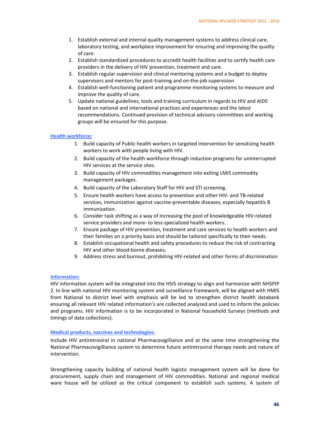- 1. Establish external and internal quality management systems to address clinical care, laboratory testing, and workplace improvement for ensuring and improving the quality of care.
- 2. Establish standardized procedures to accredit health facilities and to certify health care providers in the delivery of HIV prevention, treatment and care.
- 3. Establish regular supervision and clinical mentoring systems and a budget to deploy supervisors and mentors for post-training and on-the-job supervision
- 4. Establish well‐functioning patient and programme monitoring systems to measure and improve the quality of care.
- 5. Update national guidelines, tools and training curriculum in regards to HIV and AIDS based on national and international practices and experiences and the latest recommendations. Continued provision of technical advisory committees and working groups will be ensured for this purpose.

#### **Health workforce:**

- 1. Build capacity of Public health workers in targeted intervention for sensitizing health workers to work with people living with HIV.
- 2. Build capacity of the health workforce through induction programs for uninterrupted HIV services at the service sites.
- 3. Build capacity of HIV commodities management into exiting LMIS commodity management packages.
- 4. Build capacity of the Laboratory Staff for HIV and STI screening.
- 5. Ensure health workers have access to prevention and other HIV‐ and TB‐related services, immunization against vaccine‐preventable diseases, especially hepatitis B immunization.
- 6. Consider task shifting as a way of increasing the pool of knowledgeable HIV‐related service providers and more‐ to less‐specialized health workers.
- 7. Ensure package of HIV prevention, treatment and care services to health workers and their families on a priority basis and should be tailored specifically to their needs.
- 8. Establish occupational health and safety procedures to reduce the risk of contracting HIV and other blood‐borne diseases;
- 9. Address stress and burnout, prohibiting HIV-related and other forms of discrimination

#### **Information:**

HIV information system will be integrated into the HSIS strategy to align and harmonize with NHSPIP 2. In line with national HIV monitoring system and surveillance framework, will be aligned with HMIS from National to district level with emphasis will be led to strengthen district health databank ensuring all relevant HIV related information's are collected analyzed and used to inform the policies and programs. HIV information is to be incorporated in National household Surveys (methods and timings of data collections).

## **Medical products, vaccines and technologies:**

Include HIV antiretroviral in national Pharmacovigilliance and at the same time strengthening the National Pharmacovigilliance system to determine future antiretroviral therapy needs and nature of intervention.

Strengthening capacity building of national health logistic management system will be done for procurement, supply chain and management of HIV commodities. National and regional medical ware house will be utilized as the critical component to establish such systems. A system of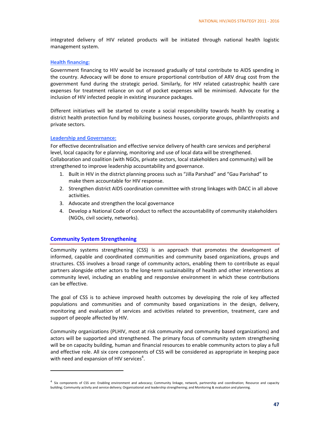integrated delivery of HIV related products will be initiated through national health logistic management system.

#### **Health financing:**

Government financing to HIV would be increased gradually of total contribute to AIDS spending in the country. Advocacy will be done to ensure proportional contribution of ARV drug cost from the government fund during the strategic period. Similarly, for HIV related catastrophic health care expenses for treatment reliance on out of pocket expenses will be minimised. Advocate for the inclusion of HIV infected people in existing insurance packages.

Different initiatives will be started to create a social responsibility towards health by creating a district health protection fund by mobilizing business houses, corporate groups, philanthropists and private sectors.

#### **Leadership and Governance:**

For effective decentralisation and effective service delivery of health care services and peripheral level, local capacity for e planning, monitoring and use of local data will be strengthened. Collaboration and coalition (with NGOs, private sectors, local stakeholders and community) will be strengthened to improve leadership accountability and governance.

- 1. Built in HIV in the district planning process such as "Jilla Parshad" and "Gau Parishad" to make them accountable for HIV response.
- 2. Strengthen district AIDS coordination committee with strong linkages with DACC in all above activities.
- 3. Advocate and strengthen the local governance
- 4. Develop a National Code of conduct to reflect the accountability of community stakeholders (NGOs, civil society, networks).

#### **Community System Strengthening**

Community systems strengthening (CSS) is an approach that promotes the development of informed, capable and coordinated communities and community based organizations, groups and structures. CSS involves a broad range of community actors, enabling them to contribute as equal partners alongside other actors to the long-term sustainability of health and other interventions at community level, including an enabling and responsive environment in which these contributions can be effective.

The goal of CSS is to achieve improved health outcomes by developing the role of key affected populations and communities and of community based organizations in the design, delivery, monitoring and evaluation of services and activities related to prevention, treatment, care and support of people affected by HIV.

Community organizations (PLHIV, most at risk community and community based organizations) and actors will be supported and strengthened. The primary focus of community system strengthening will be on capacity building, human and financial resources to enable community actors to play a full and effective role. All six core components of CSS will be considered as appropriate in keeping pace with need and expansion of HIV services<sup>4</sup>.

<sup>&</sup>lt;sup>4</sup> Six components of CSS are: Enabling environment and advocacy; Community linkage, network, partnership and coordination; Resource and capacity building; Community activity and service delivery; Organisational and leadership strengthening; and Monitoring & evaluation and planning.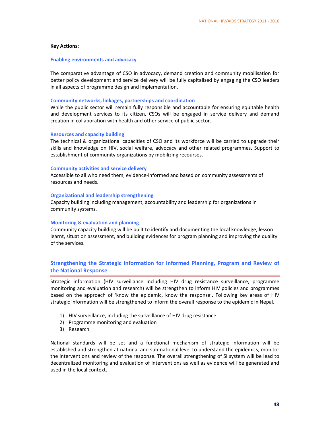#### **Key Actions:**

#### **Enabling environments and advocacy**

The comparative advantage of CSO in advocacy, demand creation and community mobilisation for better policy development and service delivery will be fully capitalised by engaging the CSO leaders in all aspects of programme design and implementation.

#### **Community networks, linkages, partnerships and coordination**

While the public sector will remain fully responsible and accountable for ensuring equitable health and development services to its citizen, CSOs will be engaged in service delivery and demand creation in collaboration with health and other service of public sector.

#### **Resources and capacity building**

The technical & organizational capacities of CSO and its workforce will be carried to upgrade their skills and knowledge on HIV, social welfare, advocacy and other related programmes. Support to establishment of community organizations by mobilizing recourses.

#### **Community activities and service delivery**

Accessible to all who need them, evidence‐informed and based on community assessments of resources and needs.

#### **Organizational and leadership strengthening**

Capacity building including management, accountability and leadership for organizations in community systems.

#### **Monitoring & evaluation and planning**

Community capacity building will be built to identify and documenting the local knowledge, lesson learnt, situation assessment, and building evidences for program planning and improving the quality of the services.

## **Strengthening the Strategic Information for Informed Planning, Program and Review of the National Response**

Strategic information (HIV surveillance including HIV drug resistance surveillance, programme monitoring and evaluation and research) will be strengthen to inform HIV policies and programmes based on the approach of 'know the epidemic, know the response'. Following key areas of HIV strategic information will be strengthened to inform the overall response to the epidemic in Nepal.

- 1) HIV surveillance, including the surveillance of HIV drug resistance
- 2) Programme monitoring and evaluation
- 3) Research

National standards will be set and a functional mechanism of strategic information will be established and strengthen at national and sub‐national level to understand the epidemics, monitor the interventions and review of the response. The overall strengthening of SI system will be lead to decentralized monitoring and evaluation of interventions as well as evidence will be generated and used in the local context.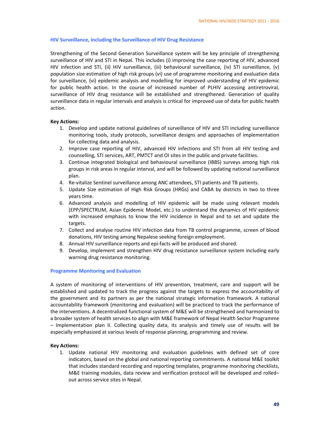#### **HIV Surveillance, including the Surveillance of HIV Drug Resistance**

Strengthening of the Second Generation Surveillance system will be key principle of strengthening surveillance of HIV and STI in Nepal. This includes (i) improving the case reporting of HIV, advanced HIV infection and STI, (ii) HIV surveillance, (iii) behavioural surveillance, (iv) STI surveillance, (v) population size estimation of high risk groups (vi) use of programme monitoring and evaluation data for surveillance, (vi) epidemic analysis and modelling for improved understanding of HIV epidemic for public health action. In the course of increased number of PLHIV accessing antiretroviral, surveillance of HIV drug resistance will be established and strengthened. Generation of quality surveillance data in regular intervals and analysis is critical for improved use of data for public health action.

#### **Key Actions:**

- 1. Develop and update national guidelines of surveillance of HIV and STI including surveillance monitoring tools, study protocols, surveillance designs and approaches of implementation for collecting data and analysis.
- 2. Improve case reporting of HIV, advanced HIV infections and STI from all HIV testing and counselling, STI services, ART, PMTCT and OI sites in the public and private facilities.
- 3. Continue integrated biological and behavioural surveillance (IBBS) surveys among high risk groups in risk areas in regular interval, and will be followed by updating national surveillance plan.
- 4. Re-vitalize Sentinel surveillance among ANC attendees, STI patients and TB patients.
- 5. Update Size estimation of High Risk Groups (HRGs) and CABA by districts in two to three years time.
- 6. Advanced analysis and modelling of HIV epidemic will be made using relevant models (EPP/SPECTRUM, Asian Epidemic Model, etc.) to understand the dynamics of HIV epidemic with increased emphasis to know the HIV incidence in Nepal and to set and update the targets.
- 7. Collect and analyse routine HIV infection data from TB control programme, screen of blood donations, HIV testing among Nepalese seeking foreign employment.
- 8. Annual HIV surveillance reports and epi‐facts will be produced and shared.
- 9. Develop, implement and strengthen HIV drug resistance surveillance system including early warning drug resistance monitoring.

#### **Programme Monitoring and Evaluation**

A system of monitoring of interventions of HIV prevention, treatment, care and support will be established and updated to track the progress against the targets to express the accountability of the government and its partners as per the national strategic information framework. A national accountability framework (monitoring and evaluation) will be practiced to track the performance of the interventions. A decentralized functional system of M&E will be strengthened and harmonized to a broader system of health services to align with M&E framework of Nepal Health Sector Programme – Implementation plan II. Collecting quality data, its analysis and timely use of results will be especially emphasized at various levels of response planning, programming and review.

#### **Key Actions:**

1. Update national HIV monitoring and evaluation guidelines with defined set of core indicators, based on the global and national reporting commitments. A national M&E toolkit that includes standard recording and reporting templates, programme monitoring checklists, M&E training modules, data review and verification protocol will be developed and rolled– out across service sites in Nepal.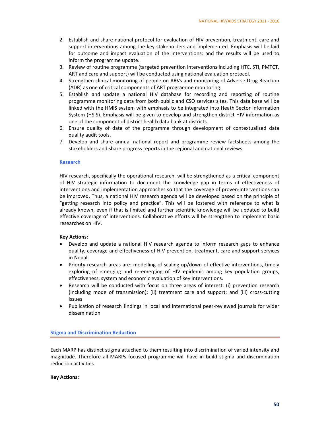- 2. Establish and share national protocol for evaluation of HIV prevention, treatment, care and support interventions among the key stakeholders and implemented. Emphasis will be laid for outcome and impact evaluation of the interventions; and the results will be used to inform the programme update.
- 3. Review of routine programme (targeted prevention interventions including HTC, STI, PMTCT, ART and care and support) will be conducted using national evaluation protocol.
- 4. Strengthen clinical monitoring of people on ARVs and monitoring of Adverse Drug Reaction (ADR) as one of critical components of ART programme monitoring.
- 5. Establish and update a national HIV database for recording and reporting of routine programme monitoring data from both public and CSO services sites. This data base will be linked with the HMIS system with emphasis to be integrated into Heath Sector Information System (HSIS). Emphasis will be given to develop and strengthen district HIV information as one of the component of district health data bank at districts.
- 6. Ensure quality of data of the programme through development of contextualized data quality audit tools.
- 7. Develop and share annual national report and programme review factsheets among the stakeholders and share progress reports in the regional and national reviews.

#### **Research**

HIV research, specifically the operational research, will be strengthened as a critical component of HIV strategic information to document the knowledge gap in terms of effectiveness of interventions and implementation approaches so that the coverage of proven‐interventions can be improved. Thus, a national HIV research agenda will be developed based on the principle of "getting research into policy and practice". This will be fostered with reference to what is already known, even if that is limited and further scientific knowledge will be updated to build effective coverage of interventions. Collaborative efforts will be strengthen to implement basic researches on HIV.

#### **Key Actions:**

- Develop and update a national HIV research agenda to inform research gaps to enhance quality, coverage and effectiveness of HIV prevention, treatment, care and support services in Nepal.
- Priority research areas are: modelling of scaling-up/down of effective interventions, timely exploring of emerging and re‐emerging of HIV epidemic among key population groups, effectiveness, system and economic evaluation of key interventions.
- Research will be conducted with focus on three areas of interest: (i) prevention research (including mode of transmission); (ii) treatment care and support; and (iii) cross‐cutting issues
- Publication of research findings in local and international peer‐reviewed journals for wider dissemination

#### **Stigma and Discrimination Reduction**

Each MARP has distinct stigma attached to them resulting into discrimination of varied intensity and magnitude. Therefore all MARPs focused programme will have in build stigma and discrimination reduction activities.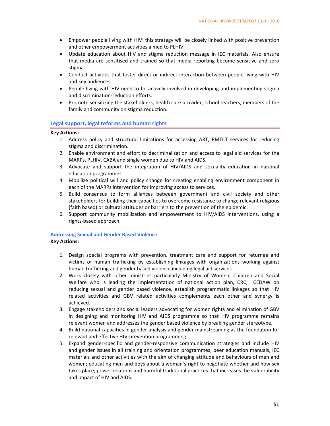- Empower people living with HIV: this strategy will be closely linked with positive prevention and other empowerment activities aimed to PLHIV.
- Update education about HIV and stigma reduction message in IEC materials. Also ensure that media are sensitised and trained so that media reporting become sensitive and zero stigma.
- Conduct activities that foster direct or indirect interaction between people living with HIV and key audiences
- People living with HIV need to be actively involved in developing and implementing stigma and discrimination‐reduction efforts.
- Promote sensitizing the stakeholders, health care provider, school teachers, members of the family and community on stigma reduction.

#### **Legal support, legal reforms and human rights**

#### **Key Actions:**

- 1. Address policy and structural limitations for accessing ART, PMTCT services for reducing stigma and discrimination.
- 2. Enable environment and effort to decriminalisation and access to legal aid services for the MARPs, PLHIV, CABA and single women due to HIV and AIDS.
- 3. Advocate and support the integration of HIV/AIDS and sexuality education in national education programmes.
- 4. Mobilize political will and policy change for creating enabling environment component in each of the MARPs intervention for improving access to services.
- 5. Build consensus to form alliances between government and civil society and other stakeholders for building their capacities to overcome resistance to change relevant religious (faith based) or cultural attitudes or barriers to the prevention of the epidemic.
- 6. Support community mobilization and empowerment to HIV/AIDS interventions, using a rights‐based approach.

# **Addressing Sexual and Gender Based Violence**

- 1. Design special programs with prevention, treatment care and support for returnee and victims of human trafficking by establishing linkages with organizations working against human trafficking and gender based violence including legal aid services.
- 2. Work closely with other ministries particularly Ministry of Women, Children and Social Welfare who is leading the implementation of national action plan, CRC, CEDAW on reducing sexual and gender based violence, establish programmatic linkages so that HIV related activities and GBV related activities complements each other and synergy is achieved.
- 3. Engage stakeholders and social leaders advocating for women rights and elimination of GBV in designing and monitoring HIV and AIDS programme so that HIV programme remains relevant women and addresses the gender based violence by breaking gender stereotype.
- 4. Build national capacities in gender analysis and gender mainstreaming as the foundation for relevant and effective HIV‐prevention programming.
- 5. Expand gender-specific and gender-responsive communication strategies and include HIV and gender issues in all training and orientation programmes, peer education manuals, IEC materials and other activities with the aim of changing attitude and behaviours of men and women; educating men and boys about a woman's right to negotiate whether and how sex takes place; power relations and harmful traditional practices that increases the vulnerability and impact of HIV and AIDS.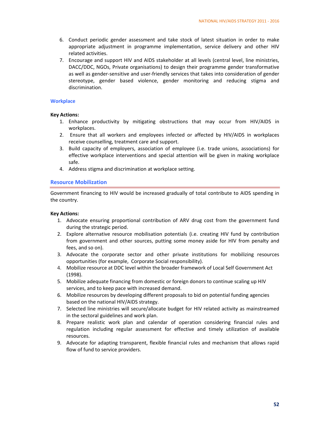- 6. Conduct periodic gender assessment and take stock of latest situation in order to make appropriate adjustment in programme implementation, service delivery and other HIV related activities.
- 7. Encourage and support HIV and AIDS stakeholder at all levels (central level, line ministries, DACC/DDC, NGOs, Private organisations) to design their programme gender transformative as well as gender-sensitive and user-friendly services that takes into consideration of gender stereotype, gender based violence, gender monitoring and reducing stigma and discrimination.

#### **Workplace**

#### **Key Actions:**

- 1. Enhance productivity by mitigating obstructions that may occur from HIV/AIDS in workplaces.
- 2. Ensure that all workers and employees infected or affected by HIV/AIDS in workplaces receive counselling, treatment care and support.
- 3. Build capacity of employers, association of employee (i.e. trade unions, associations) for effective workplace interventions and special attention will be given in making workplace safe.
- 4. Address stigma and discrimination at workplace setting.

#### **Resource Mobilization**

Government financing to HIV would be increased gradually of total contribute to AIDS spending in the country.

- 1. Advocate ensuring proportional contribution of ARV drug cost from the government fund during the strategic period.
- 2. Explore alternative resource mobilisation potentials (i.e. creating HIV fund by contribution from government and other sources, putting some money aside for HIV from penalty and fees, and so on).
- 3. Advocate the corporate sector and other private institutions for mobilizing resources opportunities (for example, Corporate Social responsibility).
- 4. Mobilize resource at DDC level within the broader framework of Local Self Government Act (1998).
- 5. Mobilize adequate financing from domestic or foreign donors to continue scaling up HIV services, and to keep pace with increased demand.
- 6. Mobilize resources by developing different proposals to bid on potential funding agencies based on the national HIV/AIDS strategy.
- 7. Selected line ministries will secure/allocate budget for HIV related activity as mainstreamed in the sectoral guidelines and work plan.
- 8. Prepare realistic work plan and calendar of operation considering financial rules and regulation including regular assessment for effective and timely utilization of available resources.
- 9. Advocate for adapting transparent, flexible financial rules and mechanism that allows rapid flow of fund to service providers.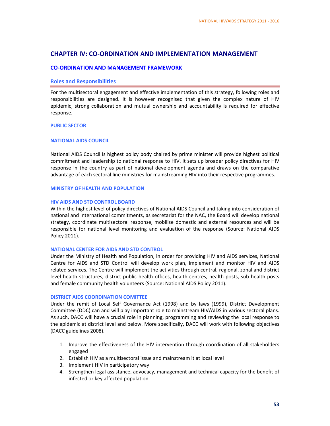## **CHAPTER IV: CO‐ORDINATION AND IMPLEMENTATION MANAGEMENT**

#### **CO‐ORDINATION AND MANAGEMENT FRAMEWORK**

#### **Roles and Responsibilities**

For the multisectoral engagement and effective implementation of this strategy, following roles and responsibilities are designed. It is however recognised that given the complex nature of HIV epidemic, strong collaboration and mutual ownership and accountability is required for effective response.

#### **PUBLIC SECTOR**

#### **NATIONAL AIDS COUNCIL**

National AIDS Council is highest policy body chaired by prime minister will provide highest political commitment and leadership to national response to HIV. It sets up broader policy directives for HIV response in the country as part of national development agenda and draws on the comparative advantage of each sectoral line ministries for mainstreaming HIV into their respective programmes.

#### **MINISTRY OF HEALTH AND POPULATION**

#### **HIV AIDS AND STD CONTROL BOARD**

Within the highest level of policy directives of National AIDS Council and taking into consideration of national and international commitments, as secretariat for the NAC, the Board will develop national strategy, coordinate multisectoral response, mobilise domestic and external resources and will be responsible for national level monitoring and evaluation of the response (Source: National AIDS Policy 2011).

#### **NATIONAL CENTER FOR AIDS AND STD CONTROL**

Under the Ministry of Health and Population, in order for providing HIV and AIDS services, National Centre for AIDS and STD Control will develop work plan, implement and monitor HIV and AIDS related services. The Centre will implement the activities through central, regional, zonal and district level health structures, district public health offices, health centres, health posts, sub health posts and female community health volunteers (Source: National AIDS Policy 2011).

#### **DISTRICT AIDS COORDINATION COMITTEE**

Under the remit of Local Self Governance Act (1998) and by laws (1999), District Development Committee (DDC) can and will play important role to mainstream HIV/AIDS in various sectoral plans. As such, DACC will have a crucial role in planning, programming and reviewing the local response to the epidemic at district level and below. More specifically, DACC will work with following objectives (DACC guidelines 2008).

- 1. Improve the effectiveness of the HIV intervention through coordination of all stakeholders engaged
- 2. Establish HIV as a multisectoral issue and mainstream it at local level
- 3. Implement HIV in participatory way
- 4. Strengthen legal assistance, advocacy, management and technical capacity for the benefit of infected or key affected population.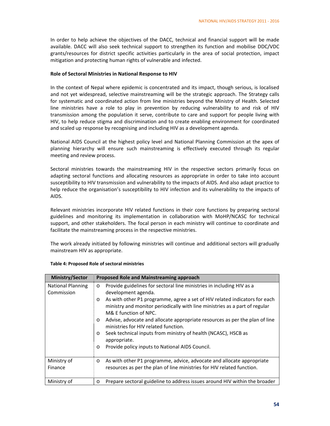In order to help achieve the objectives of the DACC, technical and financial support will be made available. DACC will also seek technical support to strengthen its function and mobilise DDC/VDC grants/resources for district specific activities particularly in the area of social protection, impact mitigation and protecting human rights of vulnerable and infected.

#### **Role of Sectoral Ministries in National Response to HIV**

In the context of Nepal where epidemic is concentrated and its impact, though serious, is localised and not yet widespread, selective mainstreaming will be the strategic approach. The Strategy calls for systematic and coordinated action from line ministries beyond the Ministry of Health. Selected line ministries have a role to play in prevention by reducing vulnerability to and risk of HIV transmission among the population it serve, contribute to care and support for people living with HIV, to help reduce stigma and discrimination and to create enabling environment for coordinated and scaled up response by recognising and including HIV as a development agenda.

National AIDS Council at the highest policy level and National Planning Commission at the apex of planning hierarchy will ensure such mainstreaming is effectively executed through its regular meeting and review process.

Sectoral ministries towards the mainstreaming HIV in the respective sectors primarily focus on adapting sectoral functions and allocating resources as appropriate in order to take into account susceptibility to HIV transmission and vulnerability to the impacts of AIDS. And also adapt practice to help reduce the organisation's susceptibility to HIV infection and its vulnerability to the impacts of AIDS.

Relevant ministries incorporate HIV related functions in their core functions by preparing sectoral guidelines and monitoring its implementation in collaboration with MoHP/NCASC for technical support, and other stakeholders. The focal person in each ministry will continue to coordinate and facilitate the mainstreaming process in the respective ministries.

The work already initiated by following ministries will continue and additional sectors will gradually mainstream HIV as appropriate.

| <b>Ministry/Sector</b>                 | <b>Proposed Role and Mainstreaming approach</b>                                                                                                                                                                                                                                                                                                                                                                                                                                                                                                                                                       |
|----------------------------------------|-------------------------------------------------------------------------------------------------------------------------------------------------------------------------------------------------------------------------------------------------------------------------------------------------------------------------------------------------------------------------------------------------------------------------------------------------------------------------------------------------------------------------------------------------------------------------------------------------------|
| <b>National Planning</b><br>Commission | Provide guidelines for sectoral line ministries in including HIV as a<br>$\circ$<br>development agenda.<br>As with other P1 programme, agree a set of HIV related indicators for each<br>$\circ$<br>ministry and monitor periodically with line ministries as a part of regular<br>M& F function of NPC.<br>Advise, advocate and allocate appropriate resources as per the plan of line<br>$\circ$<br>ministries for HIV related function.<br>Seek technical inputs from ministry of health (NCASC), HSCB as<br>$\circ$<br>appropriate.<br>Provide policy inputs to National AIDS Council.<br>$\circ$ |
| Ministry of<br>Finance                 | As with other P1 programme, advice, advocate and allocate appropriate<br>$\circ$<br>resources as per the plan of line ministries for HIV related function.                                                                                                                                                                                                                                                                                                                                                                                                                                            |
| Ministry of                            | Prepare sectoral guideline to address issues around HIV within the broader<br>$\circ$                                                                                                                                                                                                                                                                                                                                                                                                                                                                                                                 |

#### **Table 4: Proposed Role of sectoral ministries**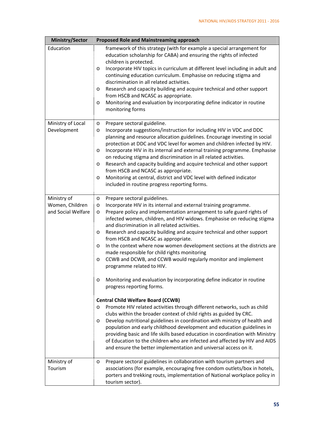| <b>Ministry/Sector</b>                               | <b>Proposed Role and Mainstreaming approach</b>                                                                                                                                                                                                                                                                                                                                                                                                                                                                                                                                                                                                                                                                                                                                                                                                                                                                                                                                                                                                                                                                                                                                                                                                                                                                                                                                                                        |  |  |  |  |
|------------------------------------------------------|------------------------------------------------------------------------------------------------------------------------------------------------------------------------------------------------------------------------------------------------------------------------------------------------------------------------------------------------------------------------------------------------------------------------------------------------------------------------------------------------------------------------------------------------------------------------------------------------------------------------------------------------------------------------------------------------------------------------------------------------------------------------------------------------------------------------------------------------------------------------------------------------------------------------------------------------------------------------------------------------------------------------------------------------------------------------------------------------------------------------------------------------------------------------------------------------------------------------------------------------------------------------------------------------------------------------------------------------------------------------------------------------------------------------|--|--|--|--|
| Education                                            | framework of this strategy (with for example a special arrangement for<br>education scholarship for CABA) and ensuring the rights of infected<br>children is protected.<br>Incorporate HIV topics in curriculum at different level including in adult and<br>O<br>continuing education curriculum. Emphasise on reducing stigma and<br>discrimination in all related activities.<br>Research and capacity building and acquire technical and other support<br>O<br>from HSCB and NCASC as appropriate.<br>Monitoring and evaluation by incorporating define indicator in routine<br>O<br>monitoring forms                                                                                                                                                                                                                                                                                                                                                                                                                                                                                                                                                                                                                                                                                                                                                                                                              |  |  |  |  |
| Ministry of Local<br>Development                     | Prepare sectoral guideline.<br>$\circ$<br>Incorporate suggestions/instruction for including HIV in VDC and DDC<br>O<br>planning and resource allocation guidelines. Encourage investing in social<br>protection at DDC and VDC level for women and children infected by HIV.<br>Incorporate HIV in its internal and external training programme. Emphasise<br>O<br>on reducing stigma and discrimination in all related activities.<br>Research and capacity building and acquire technical and other support<br>O<br>from HSCB and NCASC as appropriate.<br>Monitoring at central, district and VDC level with defined indicator<br>$\circ$<br>included in routine progress reporting forms.                                                                                                                                                                                                                                                                                                                                                                                                                                                                                                                                                                                                                                                                                                                          |  |  |  |  |
| Ministry of<br>Women, Children<br>and Social Welfare | Prepare sectoral guidelines.<br>$\circ$<br>Incorporate HIV in its internal and external training programme.<br>$\circ$<br>Prepare policy and implementation arrangement to safe guard rights of<br>$\circ$<br>infected women, children, and HIV widows. Emphasise on reducing stigma<br>and discrimination in all related activities.<br>Research and capacity building and acquire technical and other support<br>$\circ$<br>from HSCB and NCASC as appropriate.<br>In the context where now women development sections at the districts are<br>O<br>made responsible for child rights monitoring<br>CCWB and DCWB, and CCWB would regularly monitor and implement<br>O<br>programme related to HIV.<br>Monitoring and evaluation by incorporating define indicator in routine<br>progress reporting forms.<br><b>Central Child Welfare Board (CCWB)</b><br>Promote HIV related activities through different networks, such as child<br>$\circ$<br>clubs within the broader context of child rights as guided by CRC.<br>Develop nutritional guidelines in coordination with ministry of health and<br>O<br>population and early childhood development and education guidelines in<br>providing basic and life skills based education in coordination with Ministry<br>of Education to the children who are infected and affected by HIV and AIDS<br>and ensure the better implementation and universal access on it. |  |  |  |  |
| Ministry of<br>Tourism                               | Prepare sectoral guidelines in collaboration with tourism partners and<br>O<br>associations (for example, encouraging free condom outlets/box in hotels,<br>porters and trekking routs, implementation of National workplace policy in<br>tourism sector).                                                                                                                                                                                                                                                                                                                                                                                                                                                                                                                                                                                                                                                                                                                                                                                                                                                                                                                                                                                                                                                                                                                                                             |  |  |  |  |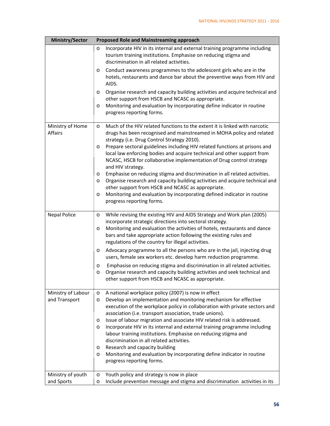| <b>Ministry/Sector</b>              | <b>Proposed Role and Mainstreaming approach</b>                                                                                                                                                                                                                                                                                                      |
|-------------------------------------|------------------------------------------------------------------------------------------------------------------------------------------------------------------------------------------------------------------------------------------------------------------------------------------------------------------------------------------------------|
|                                     | Incorporate HIV in its internal and external training programme including<br>$\circ$<br>tourism training institutions. Emphasise on reducing stigma and<br>discrimination in all related activities.                                                                                                                                                 |
|                                     | Conduct awareness programmes to the adolescent girls who are in the<br>O<br>hotels, restaurants and dance bar about the preventive ways from HIV and<br>AIDS.                                                                                                                                                                                        |
|                                     | Organise research and capacity building activities and acquire technical and<br>O<br>other support from HSCB and NCASC as appropriate.                                                                                                                                                                                                               |
|                                     | Monitoring and evaluation by incorporating define indicator in routine<br>O<br>progress reporting forms.                                                                                                                                                                                                                                             |
| Ministry of Home<br><b>Affairs</b>  | Much of the HIV related functions to the extent it is linked with narcotic<br>O<br>drugs has been recognised and mainstreamed in MOHA policy and related<br>strategy (i.e. Drug Control Strategy 2010).                                                                                                                                              |
|                                     | Prepare sectoral guidelines including HIV related functions at prisons and<br>$\circ$<br>local law enforcing bodies and acquire technical and other support from<br>NCASC, HSCB for collaborative implementation of Drug control strategy<br>and HIV strategy.                                                                                       |
|                                     | Emphasise on reducing stigma and discrimination in all related activities.<br>O<br>Organise research and capacity building activities and acquire technical and<br>O                                                                                                                                                                                 |
|                                     | other support from HSCB and NCASC as appropriate.<br>Monitoring and evaluation by incorporating defined indicator in routine<br>O<br>progress reporting forms.                                                                                                                                                                                       |
| <b>Nepal Police</b>                 | While revising the existing HIV and AIDS Strategy and Work plan (2005)<br>O<br>incorporate strategic directions into sectoral strategy.<br>Monitoring and evaluation the activities of hotels, restaurants and dance<br>O<br>bars and take appropriate action following the existing rules and<br>regulations of the country for illegal activities. |
|                                     | Advocacy programme to all the persons who are in the jail, injecting drug<br>O<br>users, female sex workers etc. develop harm reduction programme.                                                                                                                                                                                                   |
|                                     | Emphasise on reducing stigma and discrimination in all related activities.<br>O<br>Organise research and capacity building activities and seek technical and<br>O<br>other support from HSCB and NCASC as appropriate.                                                                                                                               |
| Ministry of Labour<br>and Transport | A national workplace policy (2007) is now in effect<br>$\circ$<br>Develop an implementation and monitoring mechanism for effective<br>O<br>execution of the workplace policy in collaboration with private sectors and<br>association (i.e. transport association, trade unions).                                                                    |
|                                     | Issue of labour migration and associate HIV related risk is addressed.<br>O<br>Incorporate HIV in its internal and external training programme including<br>O<br>labour training institutions. Emphasise on reducing stigma and<br>discrimination in all related activities.                                                                         |
|                                     | Research and capacity building<br>O<br>Monitoring and evaluation by incorporating define indicator in routine<br>O<br>progress reporting forms.                                                                                                                                                                                                      |
| Ministry of youth<br>and Sports     | Youth policy and strategy is now in place<br>$\circ$<br>Include prevention message and stigma and discrimination activities in its<br>O                                                                                                                                                                                                              |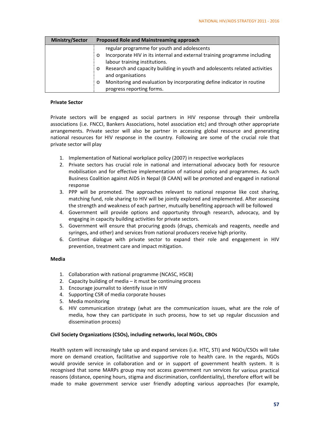| <b>Ministry/Sector</b> | <b>Proposed Role and Mainstreaming approach</b>                                       |  |  |  |  |
|------------------------|---------------------------------------------------------------------------------------|--|--|--|--|
|                        | regular programme for youth and adolescents                                           |  |  |  |  |
|                        | Incorporate HIV in its internal and external training programme including<br>$\circ$  |  |  |  |  |
|                        | labour training institutions.                                                         |  |  |  |  |
|                        | Research and capacity building in youth and adolescents related activities<br>$\circ$ |  |  |  |  |
|                        | and organisations                                                                     |  |  |  |  |
|                        | Monitoring and evaluation by incorporating define indicator in routine<br>$\circ$     |  |  |  |  |
|                        | progress reporting forms.                                                             |  |  |  |  |

#### **Private Sector**

Private sectors will be engaged as social partners in HIV response through their umbrella associations (i.e. FNCCI, Bankers Associations, hotel association etc) and through other appropriate arrangements. Private sector will also be partner in accessing global resource and generating national resources for HIV response in the country. Following are some of the crucial role that private sector will play

- 1. Implementation of National workplace policy (2007) in respective workplaces
- 2. Private sectors has crucial role in national and international advocacy both for resource mobilisation and for effective implementation of national policy and programmes. As such Business Coalition against AIDS in Nepal (B CAAN) will be promoted and engaged in national response
- 3. PPP will be promoted. The approaches relevant to national response like cost sharing, matching fund, role sharing to HIV will be jointly explored and implemented. After assessing the strength and weakness of each partner, mutually benefiting approach will be followed
- 4. Government will provide options and opportunity through research, advocacy, and by engaging in capacity building activities for private sectors.
- 5. Government will ensure that procuring goods (drugs, chemicals and reagents, needle and syringes, and other) and services from national producers receive high priority.
- 6. Continue dialogue with private sector to expand their role and engagement in HIV prevention, treatment care and impact mitigation.

#### **Media**

- 1. Collaboration with national programme (NCASC, HSCB)
- 2. Capacity building of media it must be continuing process
- 3. Encourage journalist to identify issue in HIV
- 4. Supporting CSR of media corporate houses
- 5. Media monitoring
- 6. HIV communication strategy (what are the communication issues, what are the role of media, how they can participate in such process, how to set up regular discussion and dissemination process)

#### **Civil Society Organizations (CSOs), including networks, local NGOs, CBOs**

Health system will increasingly take up and expand services (i.e. HTC, STI) and NGOs/CSOs will take more on demand creation, facilitative and supportive role to health care. In the regards, NGOs would provide service in collaboration and or in support of government health system. It is recognised that some MARPs group may not access government run services for various practical reasons (distance, opening hours, stigma and discrimination, confidentiality), therefore effort will be made to make government service user friendly adopting various approaches (for example,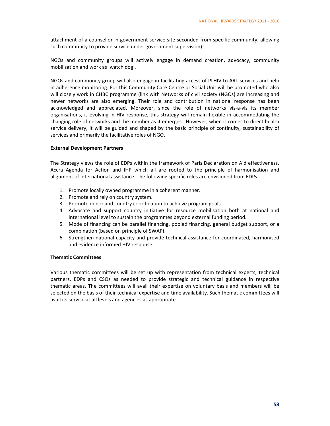attachment of a counsellor in government service site seconded from specific community, allowing such community to provide service under government supervision).

NGOs and community groups will actively engage in demand creation, advocacy, community mobilisation and work as 'watch dog'.

NGOs and community group will also engage in facilitating access of PLHIV to ART services and help in adherence monitoring. For this Community Care Centre or Social Unit will be promoted who also will closely work in CHBC programme (link with Networks of civil society (NGOs) are increasing and newer networks are also emerging. Their role and contribution in national response has been acknowledged and appreciated. Moreover, since the role of networks vis‐a‐vis its member organisations, is evolving in HIV response, this strategy will remain flexible in accommodating the changing role of networks and the member as it emerges. However, when it comes to direct health service delivery, it will be guided and shaped by the basic principle of continuity, sustainability of services and primarily the facilitative roles of NGO.

#### **External Development Partners**

The Strategy views the role of EDPs within the framework of Paris Declaration on Aid effectiveness, Accra Agenda for Action and IHP which all are rooted to the principle of harmonisation and alignment of international assistance. The following specific roles are envisioned from EDPs.

- 1. Promote locally owned programme in a coherent manner.
- 2. Promote and rely on country system.
- 3. Promote donor and country coordination to achieve program goals.
- 4. Advocate and support country initiative for resource mobilisation both at national and international level to sustain the programmes beyond external funding period.
- 5. Mode of financing can be parallel financing, pooled financing, general budget support, or a combination (based on principle of SWAP).
- 6. Strengthen national capacity and provide technical assistance for coordinated, harmonised and evidence informed HIV response.

#### **Thematic Committees**

Various thematic committees will be set up with representation from technical experts, technical partners, EDPs and CSOs as needed to provide strategic and technical guidance in respective thematic areas. The committees will avail their expertise on voluntary basis and members will be selected on the basis of their technical expertise and time availability. Such thematic committees will avail its service at all levels and agencies as appropriate.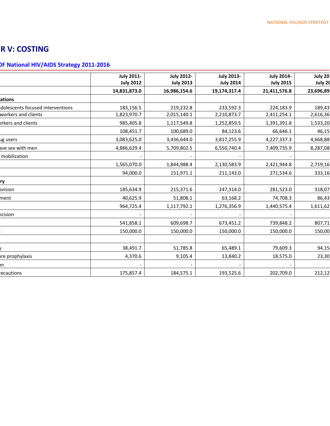# **ER V: COSTING**

# **OF National HIV/AIDS Strategy 2011‐2016**

|                                  | <b>July 2011-</b> | <b>July 2012-</b> | <b>July 2013-</b> | <b>July 2014-</b> | July 20   |
|----------------------------------|-------------------|-------------------|-------------------|-------------------|-----------|
|                                  | <b>July 2012</b>  | <b>July 2013</b>  | <b>July 2014</b>  | <b>July 2015</b>  | July 20   |
|                                  | 14,831,873.0      | 16,986,154.6      | 19,174,317.4      | 21,411,576.8      | 23,696,89 |
| ations                           |                   |                   |                   |                   |           |
| dolescents focused interventions | 183,156.5         | 219,232.8         | 233,592.3         | 224,183.9         | 189,43    |
| workers and clients              | 1,823,970.7       | 2,015,140.1       | 2,210,873.7       | 2,411,254.1       | 2,616,36  |
| prkers and clients               | 985,405.8         | 1,117,549.8       | 1,252,859.5       | 1,391,391.8       | 1,533,20  |
|                                  | 108,451.7         | 100,689.0         | 84,123.6          | 66,646.1          | 46,15     |
| ug users                         | 3,083,625.0       | 3,436,644.0       | 3,817,255.9       | 4,227,337.3       | 4,668,88  |
| ave sex with men                 | 4,886,629.4       | 5,709,802.5       | 6,550,740.4       | 7,409,735.9       | 8,287,08  |
| mobilization                     |                   |                   |                   |                   |           |
|                                  | 1,565,070.0       | 1,844,988.4       | 2,130,583.9       | 2,421,944.8       | 2,719,16  |
|                                  | 94,000.0          | 151,971.1         | 211,143.0         | 271,534.6         | 333,16    |
| ry                               |                   |                   |                   |                   |           |
| pvision                          | 185,634.9         | 215,371.6         | 247,314.0         | 281,523.0         | 318,07    |
| ment                             | 40,625.9          | 51,808.1          | 63,168.2          | 74,708.3          | 86,43     |
|                                  | 964,725.4         | 1,117,792.1       | 1,276,356.9       | 1,440,575.4       | 1,611,62  |
| ncision                          |                   |                   |                   |                   |           |
|                                  | 541,858.1         | 609,698.7         | 673,451.2         | 739,848.2         | 807,71    |
|                                  | 150,000.0         | 150,000.0         | 150,000.0         | 150,000.0         | 150,00    |
|                                  |                   |                   |                   |                   |           |
|                                  | 38,491.7          | 51,785.8          | 65,489.1          | 79,609.3          | 94,15     |
| ire prophylaxis                  | 4,370.6           | 9,105.4           | 13,840.2          | 18,575.0          | 23,30     |
| bn.                              |                   |                   |                   |                   |           |
| ecautions                        | 175,857.4         | 184,575.1         | 193,525.6         | 202,709.0         | 212,12    |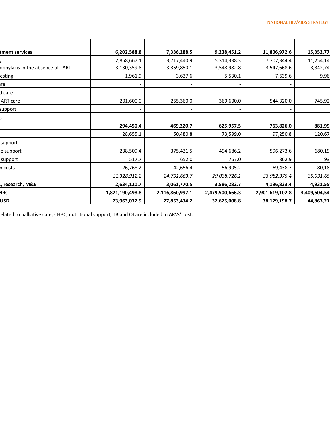| tment services                  | 6,202,588.8     | 7,336,288.5     | 9,238,451.2     | 11,806,972.6    | 15,352,77    |
|---------------------------------|-----------------|-----------------|-----------------|-----------------|--------------|
|                                 | 2,868,667.1     | 3,717,440.9     | 5,314,338.3     | 7,707,344.4     | 11,254,14    |
| ophylaxis in the absence of ART | 3,130,359.8     | 3,359,850.1     | 3,548,982.8     | 3,547,668.6     | 3,342,74     |
| esting                          | 1,961.9         | 3,637.6         | 5,530.1         | 7,639.6         | 9,96         |
| ıre                             |                 |                 |                 |                 |              |
| d care                          |                 |                 |                 |                 |              |
| ART care                        | 201,600.0       | 255,360.0       | 369,600.0       | 544,320.0       | 745,92       |
| support                         |                 |                 |                 |                 |              |
|                                 |                 |                 |                 |                 |              |
|                                 | 294,450.4       | 469,220.7       | 625,957.5       | 763,826.0       | 881,99       |
|                                 | 28,655.1        | 50,480.8        | 73,599.0        | 97,250.8        | 120,67       |
| support                         |                 |                 |                 |                 |              |
| e support                       | 238,509.4       | 375,431.5       | 494,686.2       | 596,273.6       | 680,19       |
| support                         | 517.7           | 652.0           | 767.0           | 862.9           | 93           |
| n costs                         | 26,768.2        | 42,656.4        | 56,905.2        | 69,438.7        | 80,18        |
|                                 | 21,328,912.2    | 24,791,663.7    | 29,038,726.1    | 33,982,375.4    | 39,931,65    |
| ., research, M&E                | 2,634,120.7     | 3,061,770.5     | 3,586,282.7     | 4,196,823.4     | 4,931,55     |
| <b>NRs</b>                      | 1,821,190,498.8 | 2,116,860,997.1 | 2,479,500,666.3 | 2,901,619,102.8 | 3,409,604,54 |
| USD                             | 23,963,032.9    | 27,853,434.2    | 32,625,008.8    | 38,179,198.7    | 44,863,21    |

related to palliative care, CHBC, nutritional support, TB and OI are included in ARVs' cost.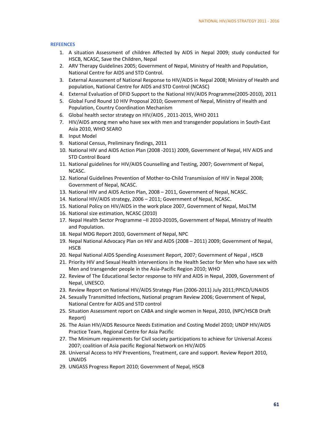#### **REFEENCES**

- 1. A situation Assessment of children Affected by AIDS in Nepal 2009; study conducted for HSCB, NCASC, Save the Children, Nepal
- 2. ARV Therapy Guidelines 2005; Government of Nepal, Ministry of Health and Population, National Centre for AIDS and STD Control.
- 3. External Assessment of National Response to HIV/AIDS in Nepal 2008; Ministry of Health and population, National Centre for AIDS and STD Control (NCASC)
- 4. External Evaluation of DFID Support to the National HIV/AIDS Programme(2005‐2010), 2011
- 5. Global Fund Round 10 HIV Proposal 2010; Government of Nepal, Ministry of Health and Population, Country Coordination Mechanism
- 6. Global health sector strategy on HIV/AIDS , 2011‐2015, WHO 2011
- 7. HIV/AIDS among men who have sex with men and transgender populations in South‐East Asia 2010, WHO SEARO
- 8. Input Model
- 9. National Census, Preliminary findings, 2011
- 10. National HIV and AIDS Action Plan (2008 ‐2011) 2009, Government of Nepal, HIV AIDS and STD Control Board
- 11. National guidelines for HIV/AIDS Counselling and Testing, 2007; Government of Nepal, NCASC.
- 12. National Guidelines Prevention of Mother-to-Child Transmission of HIV in Nepal 2008; Government of Nepal, NCASC.
- 13. National HIV and AIDS Action Plan, 2008 2011, Government of Nepal, NCASC.
- 14. National HIV/AIDS strategy, 2006 2011; Government of Nepal, NCASC.
- 15. National Policy on HIV/AIDS in the work place 2007, Government of Nepal, MoLTM
- 16. National size estimation, NCASC (2010)
- 17. Nepal Health Sector Programme –II 2010‐20105, Government of Nepal, Ministry of Health and Population.
- 18. Nepal MDG Report 2010, Government of Nepal, NPC
- 19. Nepal National Advocacy Plan on HIV and AIDS (2008 2011) 2009; Government of Nepal, HSCB
- 20. Nepal National AIDS Spending Assessment Report, 2007; Government of Nepal , HSCB
- 21. Priority HIV and Sexual Health interventions in the Health Sector for Men who have sex with Men and transgender people in the Asia‐Pacific Region 2010; WHO
- 22. Review of The Educational Sector response to HIV and AIDS in Nepal, 2009, Government of Nepal, UNESCO.
- 23. Review Report on National HIV/AIDS Strategy Plan (2006‐2011) July 2011;PPICD/UNAIDS
- 24. Sexually Transmitted Infections, National program Review 2006; Government of Nepal, National Centre for AIDS and STD control
- 25. Situation Assessment report on CABA and single women in Nepal, 2010, (NPC/HSCB Draft Report)
- 26. The Asian HIV/AIDS Resource Needs Estimation and Costing Model 2010; UNDP HIV/AIDS Practice Team, Regional Centre for Asia Pacific
- 27. The Minimum requirements for Civil society participations to achieve for Universal Access 2007; coalition of Asia pacific Regional Network on HIV/AIDS
- 28. Universal Access to HIV Preventions, Treatment, care and support. Review Report 2010, UNAIDS
- 29. UNGASS Progress Report 2010; Government of Nepal, HSCB